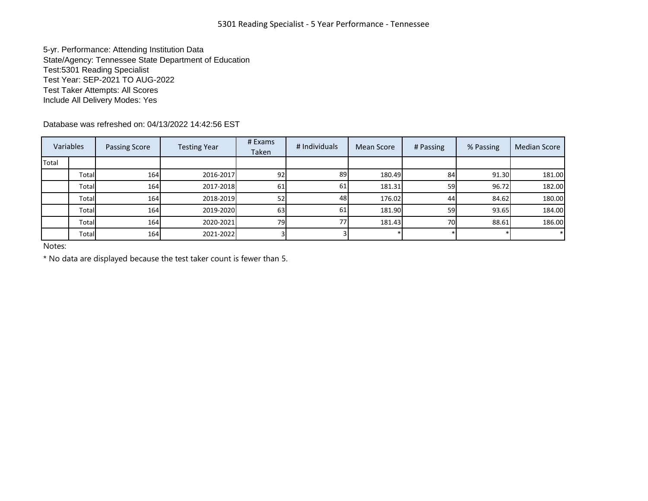5-yr. Performance: Attending Institution Data State/Agency: Tennessee State Department of Education Test:5301 Reading Specialist Test Year: SEP-2021 TO AUG-2022 Test Taker Attempts: All Scores Include All Delivery Modes: Yes

Database was refreshed on: 04/13/2022 14:42:56 EST

| Variables |       | Passing Score | <b>Testing Year</b> | # Exams<br>Taken | # Individuals | Mean Score | # Passing | % Passing | <b>Median Score</b> |
|-----------|-------|---------------|---------------------|------------------|---------------|------------|-----------|-----------|---------------------|
| Total     |       |               |                     |                  |               |            |           |           |                     |
|           | Total | 164           | 2016-2017           | 92               | 89            | 180.49     | 84        | 91.30     | 181.00              |
|           | Total | 164           | 2017-2018           | 61               | 61            | 181.31     | <b>59</b> | 96.72     | 182.00              |
|           | Total | 164           | 2018-2019           | 52               | 48            | 176.02     | 44        | 84.62     | 180.00              |
|           | Total | 164           | 2019-2020           | 63               | 61            | 181.90     | 59        | 93.65     | 184.00              |
|           | Total | 164           | 2020-2021           | 79               | 77            | 181.43     | 70I       | 88.61     | 186.00              |
|           | Total | 164           | 2021-2022           |                  |               |            |           |           |                     |

Notes:

\* No data are displayed because the test taker count is fewer than 5.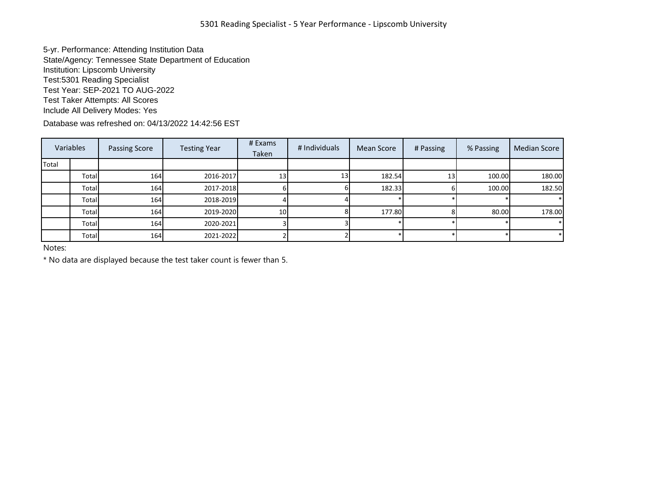5-yr. Performance: Attending Institution Data State/Agency: Tennessee State Department of Education Institution: Lipscomb University Test:5301 Reading Specialist Test Year: SEP-2021 TO AUG-2022 Test Taker Attempts: All Scores Include All Delivery Modes: Yes

Database was refreshed on: 04/13/2022 14:42:56 EST

|       | Variables | <b>Passing Score</b> | <b>Testing Year</b> | # Exams<br>Taken | # Individuals | Mean Score | # Passing | % Passing | Median Score |
|-------|-----------|----------------------|---------------------|------------------|---------------|------------|-----------|-----------|--------------|
| Total |           |                      |                     |                  |               |            |           |           |              |
|       | Total     | 164                  | 2016-2017           | 13 <sup>1</sup>  | 13I           | 182.54     | 13        | 100.00    | 180.00       |
|       | Total     | 164                  | 2017-2018           |                  |               | 182.33     |           | 100.00    | 182.50       |
|       | Total     | 164                  | 2018-2019           |                  |               |            |           |           |              |
|       | Total     | 164                  | 2019-2020           | 10 <sup>1</sup>  |               | 177.80     |           | 80.00     | 178.00       |
|       | Total     | 164                  | 2020-2021           |                  |               |            |           |           |              |
|       | Total     | 164                  | 2021-2022           |                  |               |            |           |           |              |

Notes:

\* No data are displayed because the test taker count is fewer than 5.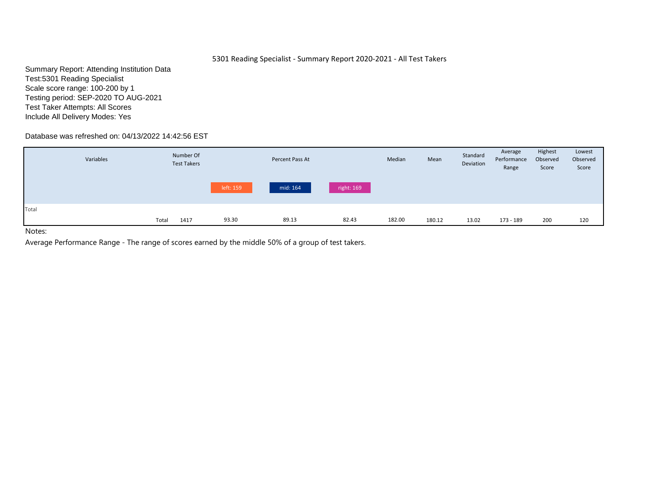# 5301 Reading Specialist - Summary Report 2020-2021 - All Test Takers

Summary Report: Attending Institution Data Test:5301 Reading Specialist Scale score range: 100-200 by 1 Testing period: SEP-2020 TO AUG-2021 Test Taker Attempts: All Scores Include All Delivery Modes: Yes

# Database was refreshed on: 04/13/2022 14:42:56 EST

|       | Variables | Number Of<br><b>Test Takers</b> |           | Percent Pass At |            | Median | Mean   | Standard<br>Deviation | Average<br>Performance<br>Range | Highest<br>Observed<br>Score | Lowest<br>Observed<br>Score |
|-------|-----------|---------------------------------|-----------|-----------------|------------|--------|--------|-----------------------|---------------------------------|------------------------------|-----------------------------|
|       |           |                                 | left: 159 | mid: 164        | right: 169 |        |        |                       |                                 |                              |                             |
| Total | Total     | 1417                            | 93.30     | 89.13           | 82.43      | 182.00 | 180.12 | 13.02                 | 173 - 189                       | 200                          | 120                         |

Notes: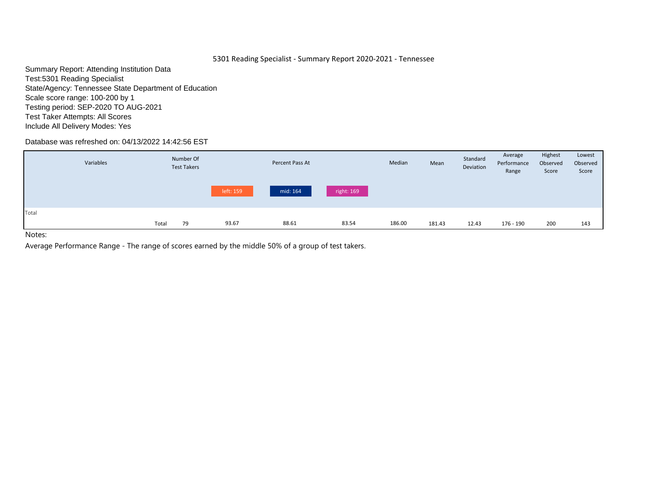# 5301 Reading Specialist - Summary Report 2020-2021 - Tennessee

Summary Report: Attending Institution Data Test:5301 Reading Specialist State/Agency: Tennessee State Department of Education Scale score range: 100-200 by 1 Testing period: SEP-2020 TO AUG-2021 Test Taker Attempts: All Scores Include All Delivery Modes: Yes

# Database was refreshed on: 04/13/2022 14:42:56 EST

|       | Variables |       | Number Of<br><b>Test Takers</b> |           | Percent Pass At |            | Median | Mean   | Standard<br>Deviation | Average<br>Performance<br>Range | Highest<br>Observed<br>Score | Lowest<br>Observed<br>Score |
|-------|-----------|-------|---------------------------------|-----------|-----------------|------------|--------|--------|-----------------------|---------------------------------|------------------------------|-----------------------------|
|       |           |       |                                 | left: 159 | mid: 164        | right: 169 |        |        |                       |                                 |                              |                             |
| Total |           | Total | 79                              | 93.67     | 88.61           | 83.54      | 186.00 | 181.43 | 12.43                 | 176 - 190                       | 200                          | 143                         |
| .     |           |       |                                 |           |                 |            |        |        |                       |                                 |                              |                             |

Notes: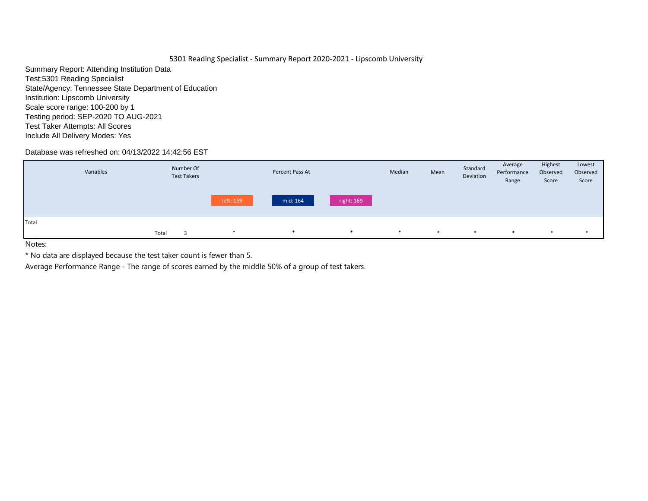# 5301 Reading Specialist - Summary Report 2020-2021 - Lipscomb University

Summary Report: Attending Institution Data Test:5301 Reading Specialist State/Agency: Tennessee State Department of Education Institution: Lipscomb University Scale score range: 100-200 by 1 Testing period: SEP-2020 TO AUG-2021 Test Taker Attempts: All Scores Include All Delivery Modes: Yes

# Database was refreshed on: 04/13/2022 14:42:56 EST

|       | Variables |       | Number Of<br><b>Test Takers</b> |           | Percent Pass At |            | Median | Mean   | Standard<br>Deviation | Average<br>Performance<br>Range | Highest<br>Observed<br>Score | Lowest<br>Observed<br>Score |
|-------|-----------|-------|---------------------------------|-----------|-----------------|------------|--------|--------|-----------------------|---------------------------------|------------------------------|-----------------------------|
|       |           |       |                                 | left: 159 | mid: 164        | right: 169 |        |        |                       |                                 |                              |                             |
| Total |           | Total |                                 | $\ast$    | $\ast$          | $*$        | $\ast$ | $\ast$ | ∗                     | ∗                               | *                            | *                           |

Notes:

\* No data are displayed because the test taker count is fewer than 5.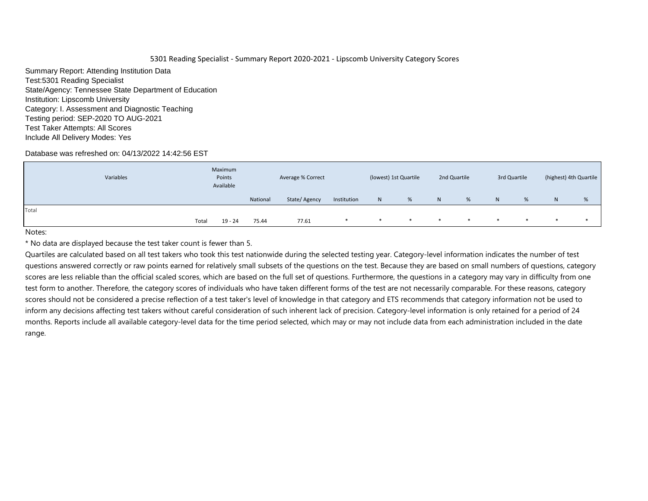Summary Report: Attending Institution Data Test:5301 Reading Specialist State/Agency: Tennessee State Department of Education Institution: Lipscomb University Category: I. Assessment and Diagnostic Teaching Testing period: SEP-2020 TO AUG-2021 Test Taker Attempts: All Scores Include All Delivery Modes: Yes

## Database was refreshed on: 04/13/2022 14:42:56 EST

|       | Variables |       | Maximum<br>Points<br>Available |          | Average % Correct |             |        | (lowest) 1st Quartile |        | 2nd Quartile |        | 3rd Quartile |    | (highest) 4th Quartile |
|-------|-----------|-------|--------------------------------|----------|-------------------|-------------|--------|-----------------------|--------|--------------|--------|--------------|----|------------------------|
|       |           |       |                                | National | State/Agency      | Institution | N      | %                     | N      | %            | N      | %            | N. | %                      |
| Total |           |       |                                |          |                   |             |        |                       |        |              |        |              |    |                        |
|       |           | Total | 19 - 24                        | 75.44    | 77.61             |             | $\ast$ | *                     | $\ast$ | $\ast$       | $\ast$ | ∗            |    |                        |
| .     |           |       |                                |          |                   |             |        |                       |        |              |        |              |    |                        |

Notes:

\* No data are displayed because the test taker count is fewer than 5.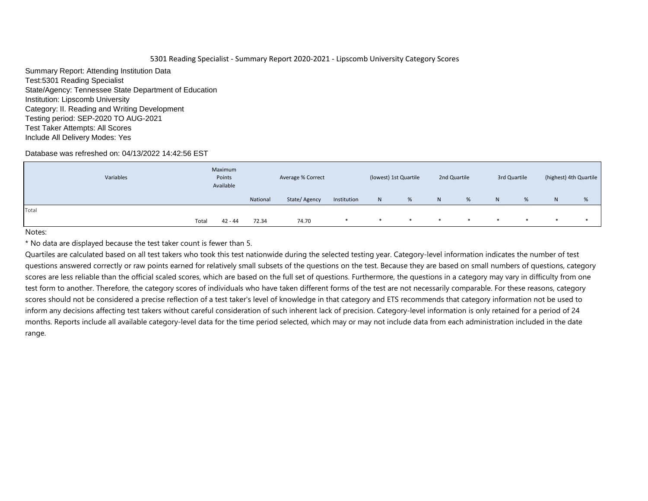Summary Report: Attending Institution Data Test:5301 Reading Specialist State/Agency: Tennessee State Department of Education Institution: Lipscomb University Category: II. Reading and Writing Development Testing period: SEP-2020 TO AUG-2021 Test Taker Attempts: All Scores Include All Delivery Modes: Yes

## Database was refreshed on: 04/13/2022 14:42:56 EST

|       | Variables |       | Maximum<br>Points<br>Available |          | Average % Correct |             |        | (lowest) 1st Quartile |                | 2nd Quartile |        | 3rd Quartile |    | (highest) 4th Quartile |
|-------|-----------|-------|--------------------------------|----------|-------------------|-------------|--------|-----------------------|----------------|--------------|--------|--------------|----|------------------------|
|       |           |       |                                | National | State/Agency      | Institution | N      | %                     | N <sub>1</sub> | %            | N      | %            | N. | %                      |
| Total |           |       |                                |          |                   |             |        |                       |                |              |        |              |    |                        |
|       |           | Total | 42 - 44                        | 72.34    | 74.70             |             | $\ast$ | ∗                     | $\ast$         | *            | $\ast$ | $\ast$       |    |                        |
| .     |           |       |                                |          |                   |             |        |                       |                |              |        |              |    |                        |

Notes:

\* No data are displayed because the test taker count is fewer than 5.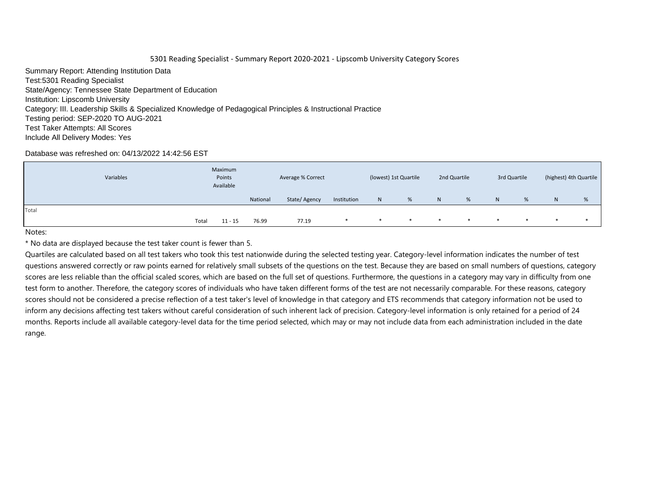Summary Report: Attending Institution Data Test:5301 Reading Specialist State/Agency: Tennessee State Department of Education Institution: Lipscomb University Category: III. Leadership Skills & Specialized Knowledge of Pedagogical Principles & Instructional Practice Testing period: SEP-2020 TO AUG-2021 Test Taker Attempts: All Scores Include All Delivery Modes: Yes

## Database was refreshed on: 04/13/2022 14:42:56 EST

|       | Variables |       | Maximum<br>Points<br>Available |          | Average % Correct |             |        | (lowest) 1st Quartile |              | 2nd Quartile |         | 3rd Quartile |    | (highest) 4th Quartile |
|-------|-----------|-------|--------------------------------|----------|-------------------|-------------|--------|-----------------------|--------------|--------------|---------|--------------|----|------------------------|
|       |           |       |                                | National | State/Agency      | Institution | N      | %                     | $\mathsf{N}$ | %            | N       | %            | N. | %                      |
| Total |           |       |                                |          |                   |             |        |                       |              |              |         |              |    |                        |
|       |           | Total | $11 - 15$                      | 76.99    | 77.19             |             | $\ast$ | *                     | $\ast$       | $\ast$       | $\star$ | $\ast$       |    |                        |
|       |           |       |                                |          |                   |             |        |                       |              |              |         |              |    |                        |

Notes:

\* No data are displayed because the test taker count is fewer than 5.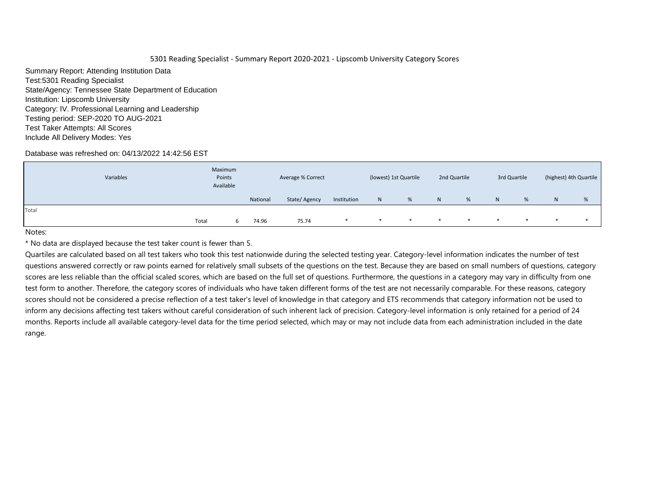Summary Report: Attending Institution Data Test:5301 Reading Specialist State/Agency: Tennessee State Department of Education Institution: Lipscomb University Category: IV. Professional Learning and Leadership Testing period: SEP-2020 TO AUG-2021 Test Taker Attempts: All Scores Include All Delivery Modes: Yes

## Database was refreshed on: 04/13/2022 14:42:56 EST

|       | Variables | Maximum<br>Points<br>Available |          | Average % Correct |             |              | (lowest) 1st Quartile |        | 2nd Quartile |        | 3rd Quartile |                | (highest) 4th Quartile |
|-------|-----------|--------------------------------|----------|-------------------|-------------|--------------|-----------------------|--------|--------------|--------|--------------|----------------|------------------------|
|       |           |                                | National | State/Agency      | Institution | $\mathsf{N}$ | %                     | N      | %            | N      | %            | N <sub>1</sub> | %                      |
| Total |           |                                |          |                   |             |              |                       |        |              |        |              |                |                        |
|       |           | Total                          | 74.96    | 75.74             |             | $\ast$       | ∗                     | $\ast$ | $\ast$       | $\ast$ | *            |                |                        |
| .     |           |                                |          |                   |             |              |                       |        |              |        |              |                |                        |

Notes:

\* No data are displayed because the test taker count is fewer than 5.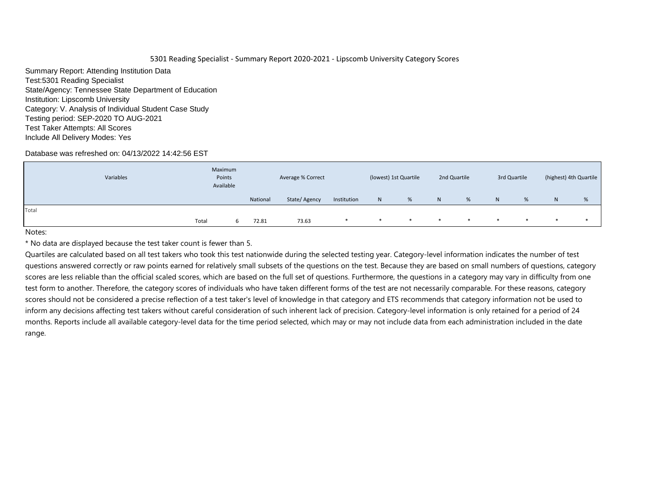Summary Report: Attending Institution Data Test:5301 Reading Specialist State/Agency: Tennessee State Department of Education Institution: Lipscomb University Category: V. Analysis of Individual Student Case Study Testing period: SEP-2020 TO AUG-2021 Test Taker Attempts: All Scores Include All Delivery Modes: Yes

## Database was refreshed on: 04/13/2022 14:42:56 EST

|       | Variables | Maximum<br>Points<br>Available |          | Average % Correct |             |        | (lowest) 1st Quartile |        | 2nd Quartile |        | 3rd Quartile |    | (highest) 4th Quartile |
|-------|-----------|--------------------------------|----------|-------------------|-------------|--------|-----------------------|--------|--------------|--------|--------------|----|------------------------|
|       |           |                                | National | State/Agency      | Institution | N      | %                     | N      | %            | N      | %            | N. | %                      |
| Total |           |                                |          |                   |             |        |                       |        |              |        |              |    |                        |
|       |           | Total                          | 72.81    | 73.63             |             | $\ast$ | *                     | $\ast$ |              | $\ast$ | ∗            |    |                        |
| .     |           |                                |          |                   |             |        |                       |        |              |        |              |    |                        |

Notes:

\* No data are displayed because the test taker count is fewer than 5.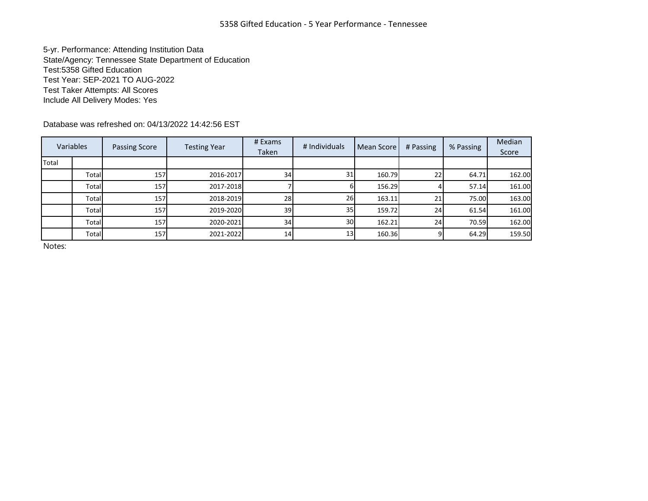5-yr. Performance: Attending Institution Data State/Agency: Tennessee State Department of Education Test:5358 Gifted Education Test Year: SEP-2021 TO AUG-2022 Test Taker Attempts: All Scores Include All Delivery Modes: Yes

Database was refreshed on: 04/13/2022 14:42:56 EST

|       | Variables | Passing Score | <b>Testing Year</b> | # Exams<br>Taken | # Individuals   | <b>Mean Score</b> | # Passing | % Passing | Median<br>Score |
|-------|-----------|---------------|---------------------|------------------|-----------------|-------------------|-----------|-----------|-----------------|
| Total |           |               |                     |                  |                 |                   |           |           |                 |
|       | Total     | 157           | 2016-2017           | 34               | 31              | 160.79            | 22        | 64.71     | 162.00          |
|       | Total     | 157           | 2017-2018           |                  |                 | 156.29            |           | 57.14     | 161.00          |
|       | Total     | 157           | 2018-2019           | 28               | 26              | 163.11            | 21        | 75.00     | 163.00          |
|       | Total     | 157           | 2019-2020           | 39               | 35 <sub>l</sub> | 159.72            | 24        | 61.54     | 161.00          |
|       | Total     | 157           | 2020-2021           | 34               | 30 <sup>l</sup> | 162.21            | 24        | 70.59     | 162.00          |
|       | Total     | 157           | 2021-2022           | 14 <sub>l</sub>  | 13 <sub>l</sub> | 160.36            |           | 64.29     | 159.50          |

Notes: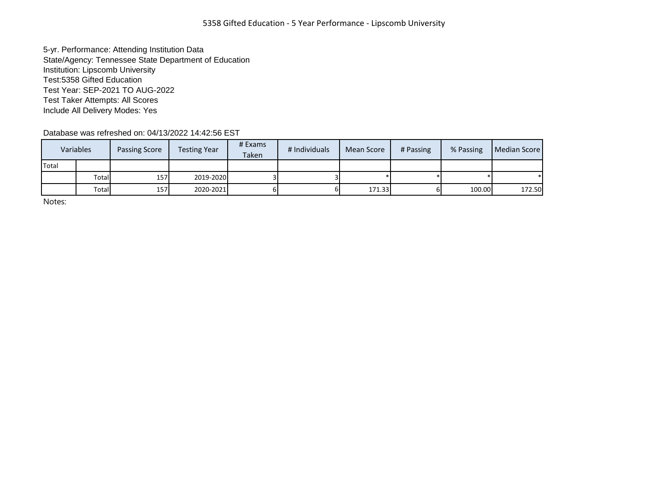5-yr. Performance: Attending Institution Data State/Agency: Tennessee State Department of Education Institution: Lipscomb University Test:5358 Gifted Education Test Year: SEP-2021 TO AUG-2022 Test Taker Attempts: All Scores Include All Delivery Modes: Yes

Database was refreshed on: 04/13/2022 14:42:56 EST

|       | Variables | <b>Passing Score</b> | <b>Testing Year</b> | # Exams<br>Taken | # Individuals | Mean Score | # Passing | % Passing | Median Score |
|-------|-----------|----------------------|---------------------|------------------|---------------|------------|-----------|-----------|--------------|
| Total |           |                      |                     |                  |               |            |           |           |              |
|       | Total     | 157                  | 2019-2020           |                  |               |            |           |           |              |
|       | Total     | 157 <b>1</b>         | 2020-2021           |                  | ы             | 171.33     |           | 100.00    | 172.50       |

Notes: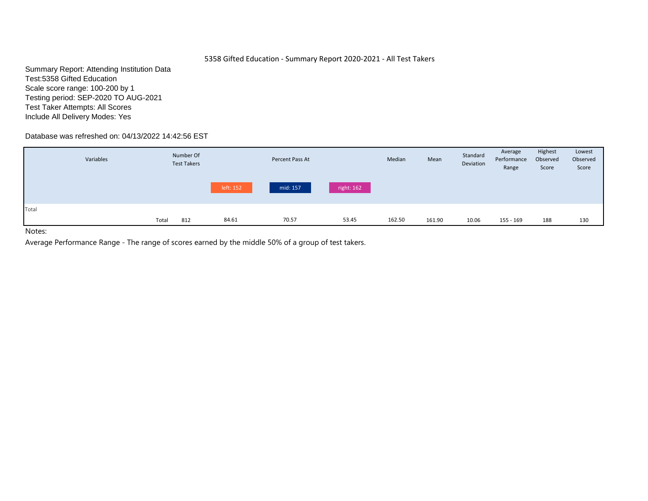# 5358 Gifted Education - Summary Report 2020-2021 - All Test Takers

Summary Report: Attending Institution Data Test:5358 Gifted Education Scale score range: 100-200 by 1 Testing period: SEP-2020 TO AUG-2021 Test Taker Attempts: All Scores Include All Delivery Modes: Yes

# Database was refreshed on: 04/13/2022 14:42:56 EST

|       | Variables |       | Number Of<br><b>Test Takers</b> |           | Percent Pass At |            | Median | Mean   | Standard<br>Deviation | Average<br>Performance<br>Range | Highest<br>Observed<br>Score | Lowest<br>Observed<br>Score |
|-------|-----------|-------|---------------------------------|-----------|-----------------|------------|--------|--------|-----------------------|---------------------------------|------------------------------|-----------------------------|
|       |           |       |                                 | left: 152 | mid: 157        | right: 162 |        |        |                       |                                 |                              |                             |
| Total |           | Total | 812                             | 84.61     | 70.57           | 53.45      | 162.50 | 161.90 | 10.06                 | 155 - 169                       | 188                          | 130                         |

Notes: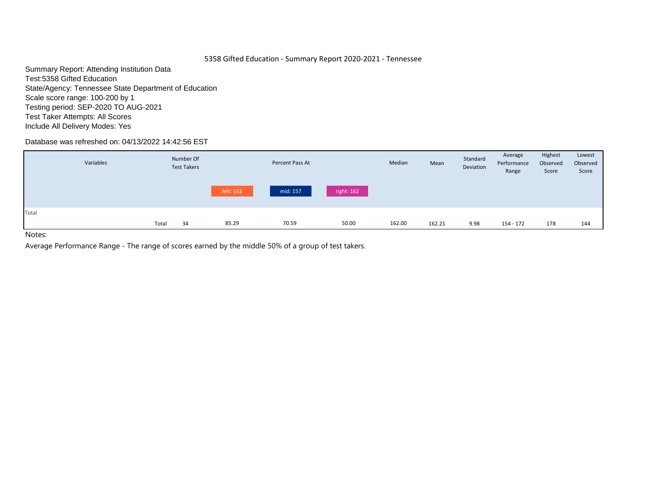# 5358 Gifted Education - Summary Report 2020-2021 - Tennessee

Summary Report: Attending Institution Data Test:5358 Gifted Education State/Agency: Tennessee State Department of Education Scale score range: 100-200 by 1 Testing period: SEP-2020 TO AUG-2021 Test Taker Attempts: All Scores Include All Delivery Modes: Yes

# Database was refreshed on: 04/13/2022 14:42:56 EST

|       |             | <b>Test Takers</b> | Percent Pass At |            | Median | Mean   | Standard<br>Deviation | Performance<br>Range | Observed<br>Score | Observed<br>Score |
|-------|-------------|--------------------|-----------------|------------|--------|--------|-----------------------|----------------------|-------------------|-------------------|
|       |             | left: 152          | mid: 157        | right: 162 |        |        |                       |                      |                   |                   |
| Total | Total<br>34 | 85.29              | 70.59           | 50.00      | 162.00 | 162.21 | 9.98                  | 154 - 172            | 178               | 144               |

Notes: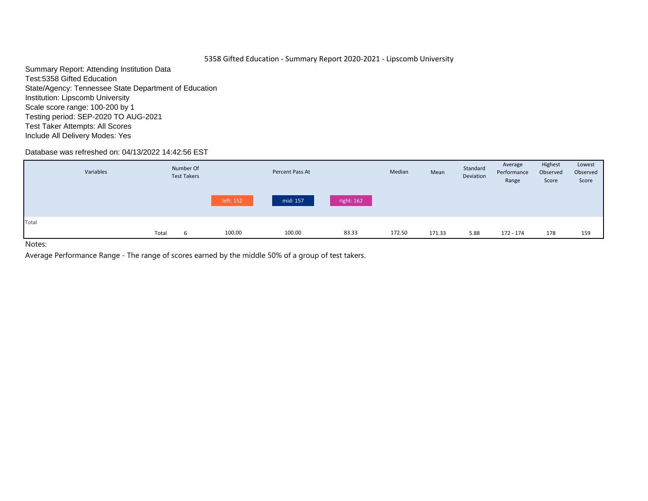# 5358 Gifted Education - Summary Report 2020-2021 - Lipscomb University

Summary Report: Attending Institution Data Test:5358 Gifted Education State/Agency: Tennessee State Department of Education Institution: Lipscomb University Scale score range: 100-200 by 1 Testing period: SEP-2020 TO AUG-2021 Test Taker Attempts: All Scores Include All Delivery Modes: Yes

# Database was refreshed on: 04/13/2022 14:42:56 EST

|       | Variables |       | Number Of<br><b>Test Takers</b> |           | Percent Pass At |            | Median | Mean   | Standard<br>Deviation | Average<br>Performance<br>Range | Highest<br>Observed<br>Score | Lowest<br>Observed<br>Score |
|-------|-----------|-------|---------------------------------|-----------|-----------------|------------|--------|--------|-----------------------|---------------------------------|------------------------------|-----------------------------|
|       |           |       |                                 | left: 152 | mid: 157        | right: 162 |        |        |                       |                                 |                              |                             |
| Total |           |       |                                 |           |                 |            |        |        |                       |                                 |                              |                             |
| .     |           | Total | 6                               | 100.00    | 100.00          | 83.33      | 172.50 | 171.33 | 5.88                  | 172 - 174                       | 178                          | 159                         |

Notes: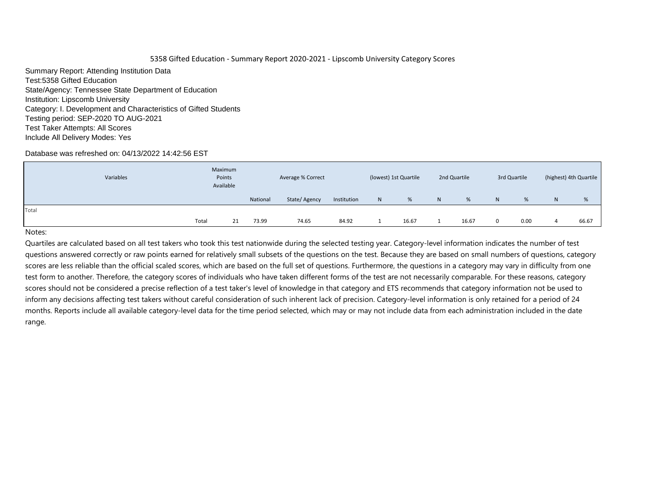Summary Report: Attending Institution Data Test:5358 Gifted Education State/Agency: Tennessee State Department of Education Institution: Lipscomb University Category: I. Development and Characteristics of Gifted Students Testing period: SEP-2020 TO AUG-2021 Test Taker Attempts: All Scores Include All Delivery Modes: Yes

## Database was refreshed on: 04/13/2022 14:42:56 EST

|       | Variables | Maximum<br>Points<br>Available |          | Average % Correct |             |              | (lowest) 1st Quartile |    | 2nd Quartile |                | 3rd Quartile |   | (highest) 4th Quartile |
|-------|-----------|--------------------------------|----------|-------------------|-------------|--------------|-----------------------|----|--------------|----------------|--------------|---|------------------------|
|       |           |                                | National | State/Agency      | Institution | $\mathsf{N}$ | %                     | N. | %            | N <sub>1</sub> | %            | N | %                      |
| Total |           |                                |          |                   |             |              |                       |    |              |                |              |   |                        |
|       | Total     | 21                             | 73.99    | 74.65             | 84.92       |              | 16.67                 |    | 16.67        |                | 0.00         |   | 66.67                  |

#### Notes: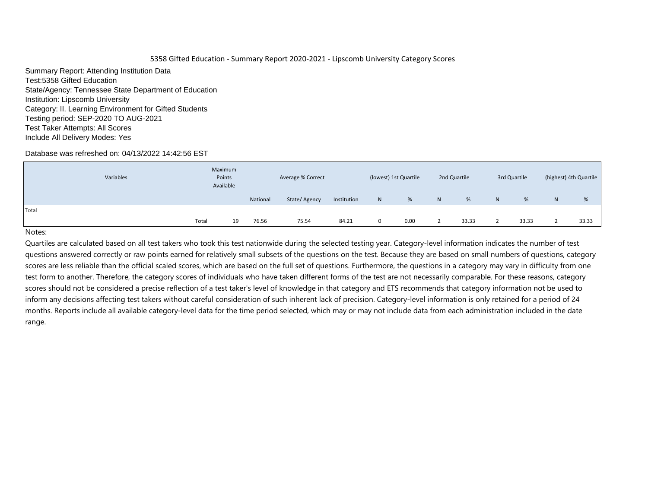Summary Report: Attending Institution Data Test:5358 Gifted Education State/Agency: Tennessee State Department of Education Institution: Lipscomb University Category: II. Learning Environment for Gifted Students Testing period: SEP-2020 TO AUG-2021 Test Taker Attempts: All Scores Include All Delivery Modes: Yes

## Database was refreshed on: 04/13/2022 14:42:56 EST

|       | Variables | Maximum<br>Points<br>Available |          | Average % Correct |             |              | (lowest) 1st Quartile |    | 2nd Quartile |                | 3rd Quartile |   | (highest) 4th Quartile |
|-------|-----------|--------------------------------|----------|-------------------|-------------|--------------|-----------------------|----|--------------|----------------|--------------|---|------------------------|
|       |           |                                | National | State/Agency      | Institution | $\mathsf{N}$ | %                     | N. | %            | N <sub>1</sub> | %            | N | %                      |
| Total |           |                                |          |                   |             |              |                       |    |              |                |              |   |                        |
|       | Total     | 19                             | 76.56    | 75.54             | 84.21       | $\Omega$     | 0.00                  |    | 33.33        |                | 33.33        |   | 33.33                  |

#### Notes: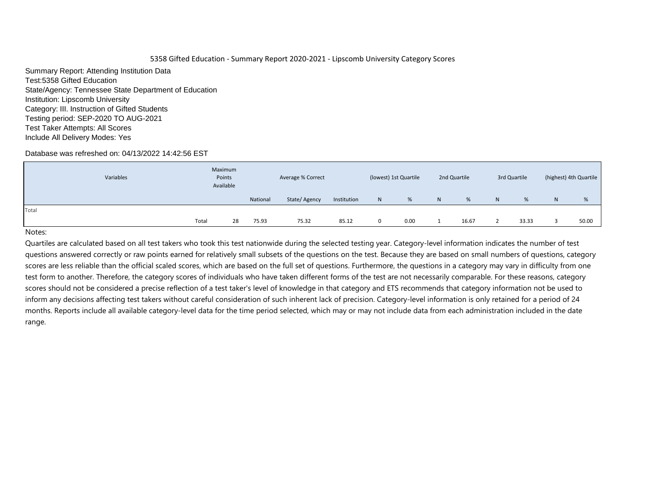Summary Report: Attending Institution Data Test:5358 Gifted Education State/Agency: Tennessee State Department of Education Institution: Lipscomb University Category: III. Instruction of Gifted Students Testing period: SEP-2020 TO AUG-2021 Test Taker Attempts: All Scores Include All Delivery Modes: Yes

## Database was refreshed on: 04/13/2022 14:42:56 EST

| Variables |       | Maximum<br>Points<br>Available |          | Average % Correct |             |              | (lowest) 1st Quartile |                | 2nd Quartile |   | 3rd Quartile |   | (highest) 4th Quartile |
|-----------|-------|--------------------------------|----------|-------------------|-------------|--------------|-----------------------|----------------|--------------|---|--------------|---|------------------------|
|           |       |                                | National | State/Agency      | Institution | $\mathsf{N}$ | %                     | N <sub>1</sub> | %            | N | %            | N | %                      |
| Total     |       |                                |          |                   |             |              |                       |                |              |   |              |   |                        |
|           | Total | 28                             | 75.93    | 75.32             | 85.12       | $\Omega$     | 0.00                  |                | 16.67        |   | 33.33        |   | 50.00                  |

#### Notes: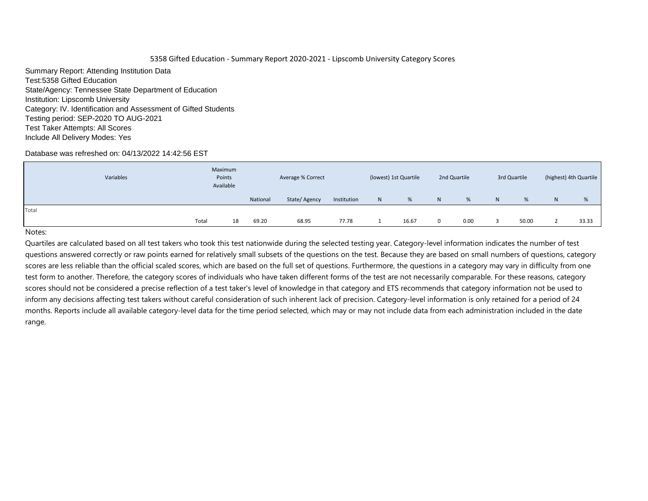Summary Report: Attending Institution Data Test:5358 Gifted Education State/Agency: Tennessee State Department of Education Institution: Lipscomb University Category: IV. Identification and Assessment of Gifted Students Testing period: SEP-2020 TO AUG-2021 Test Taker Attempts: All Scores Include All Delivery Modes: Yes

## Database was refreshed on: 04/13/2022 14:42:56 EST

|       | Variables | Maximum<br>Points<br>Available |          | Average % Correct |             |              | (lowest) 1st Quartile |    | 2nd Quartile |   | 3rd Quartile |   | (highest) 4th Quartile |
|-------|-----------|--------------------------------|----------|-------------------|-------------|--------------|-----------------------|----|--------------|---|--------------|---|------------------------|
|       |           |                                | National | State/Agency      | Institution | $\mathsf{N}$ | %                     | N. | %            | N | %            | N | %                      |
| Total |           |                                |          |                   |             |              |                       |    |              |   |              |   |                        |
|       | Total     | 18                             | 69.20    | 68.95             | 77.78       |              | 16.67                 | 0  | 0.00         |   | 50.00        |   | 33.33                  |

#### Notes: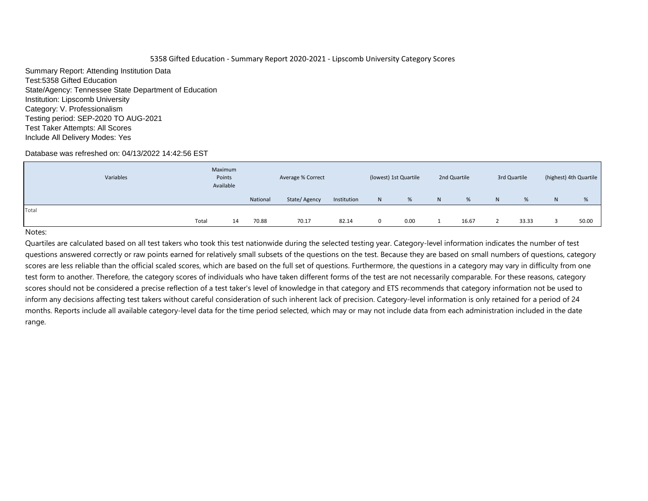Summary Report: Attending Institution Data Test:5358 Gifted Education State/Agency: Tennessee State Department of Education Institution: Lipscomb University Category: V. Professionalism Testing period: SEP-2020 TO AUG-2021 Test Taker Attempts: All Scores Include All Delivery Modes: Yes

## Database was refreshed on: 04/13/2022 14:42:56 EST

|       | Variables | Maximum<br>Points<br>Available |          | Average % Correct |             |              | (lowest) 1st Quartile |    | 2nd Quartile |              | 3rd Quartile |   | (highest) 4th Quartile |
|-------|-----------|--------------------------------|----------|-------------------|-------------|--------------|-----------------------|----|--------------|--------------|--------------|---|------------------------|
|       |           |                                | National | State/Agency      | Institution | $\mathsf{N}$ | %                     | N. | %            | $\mathsf{N}$ | %            | N | %                      |
| Total |           |                                |          |                   |             |              |                       |    |              |              |              |   |                        |
|       | Total     | 14                             | 70.88    | 70.17             | 82.14       | $\Omega$     | 0.00                  |    | 16.67        |              | 33.33        |   | 50.00                  |

#### Notes: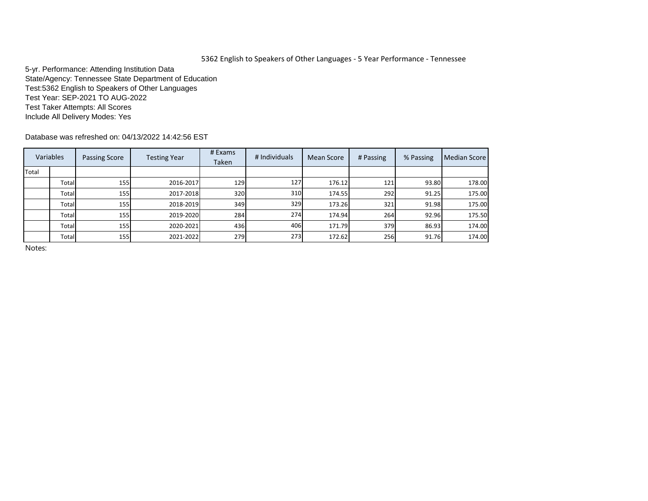# 5362 English to Speakers of Other Languages - 5 Year Performance - Tennessee

5-yr. Performance: Attending Institution Data State/Agency: Tennessee State Department of Education Test:5362 English to Speakers of Other Languages Test Year: SEP-2021 TO AUG-2022 Test Taker Attempts: All Scores Include All Delivery Modes: Yes

Database was refreshed on: 04/13/2022 14:42:56 EST

|              | Variables | Passing Score | <b>Testing Year</b> | # Exams<br><b>Taken</b> | # Individuals | Mean Score | # Passing | % Passing | Median Score |
|--------------|-----------|---------------|---------------------|-------------------------|---------------|------------|-----------|-----------|--------------|
| <b>Total</b> |           |               |                     |                         |               |            |           |           |              |
|              | Total     | 155           | 2016-2017           | 129                     | 127           | 176.12     | 121       | 93.80     | 178.00       |
|              | Total     | <b>1551</b>   | 2017-2018           | 320                     | 310           | 174.55     | 292       | 91.25     | 175.00       |
|              | Total     | 155           | 2018-2019           | 349                     | 329           | 173.26     | 321       | 91.98     | 175.00       |
|              | Total     | 155 <b> </b>  | 2019-2020           | 284                     | 274           | 174.94     | 264       | 92.96     | 175.50       |
|              | Total     | 155           | 2020-2021           | 436                     | 406           | 171.79     | 379       | 86.93     | 174.00       |
|              | Total     | <b>155</b>    | 2021-2022           | 279                     | 273           | 172.62     | 256       | 91.76     | 174.00       |

Notes: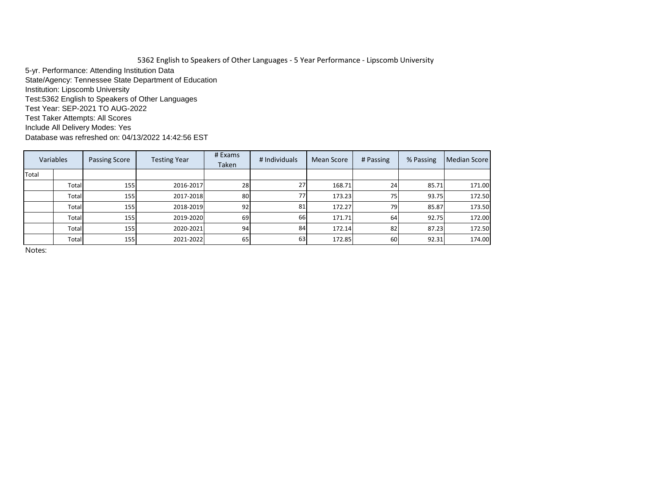5362 English to Speakers of Other Languages - 5 Year Performance - Lipscomb University 5-yr. Performance: Attending Institution Data State/Agency: Tennessee State Department of Education Institution: Lipscomb University Test:5362 English to Speakers of Other Languages Test Year: SEP-2021 TO AUG-2022 Test Taker Attempts: All Scores Include All Delivery Modes: Yes Database was refreshed on: 04/13/2022 14:42:56 EST

| Variables |       | <b>Passing Score</b> | <b>Testing Year</b> | # Exams<br>Taken | # Individuals | <b>Mean Score</b> | # Passing   | % Passing | Median Score |
|-----------|-------|----------------------|---------------------|------------------|---------------|-------------------|-------------|-----------|--------------|
| Total     |       |                      |                     |                  |               |                   |             |           |              |
|           | Total | <b>155</b>           | 2016-2017           | 28               | 27            | 168.71            | 24          | 85.71     | 171.00       |
|           | Total | <b>155</b>           | 2017-2018           | 80               | 77            | 173.23            | 75 <b>i</b> | 93.75     | 172.50       |
|           | Total | <b>155</b>           | 2018-2019           | 92               | 81            | 172.27            | 79          | 85.87     | 173.50       |
|           | Total | 155                  | 2019-2020           | 69               | 66            | 171.71            | 64          | 92.75     | 172.00       |
|           | Total | <b>155</b>           | 2020-2021           | 94               | 84            | 172.14            | 82          | 87.23     | 172.50       |
|           | Total | <b>155</b>           | 2021-2022           | 65               | 63            | 172.85            | 60          | 92.31     | 174.00       |

Notes: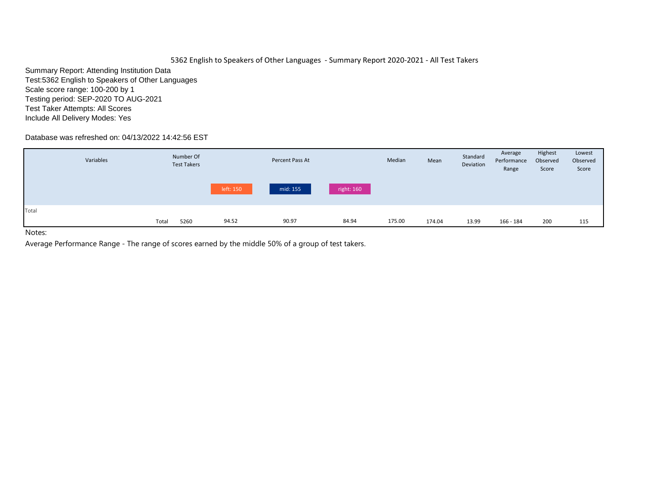# 5362 English to Speakers of Other Languages - Summary Report 2020-2021 - All Test Takers

Summary Report: Attending Institution Data Test:5362 English to Speakers of Other Languages Scale score range: 100-200 by 1 Testing period: SEP-2020 TO AUG-2021 Test Taker Attempts: All Scores Include All Delivery Modes: Yes

# Database was refreshed on: 04/13/2022 14:42:56 EST

|       | Variables |       | Number Of<br><b>Test Takers</b> |           | Percent Pass At |            | Median | Mean   | Standard<br>Deviation | Average<br>Performance<br>Range | Highest<br>Observed<br>Score | Lowest<br>Observed<br>Score |
|-------|-----------|-------|---------------------------------|-----------|-----------------|------------|--------|--------|-----------------------|---------------------------------|------------------------------|-----------------------------|
|       |           |       |                                 | left: 150 | mid: 155        | right: 160 |        |        |                       |                                 |                              |                             |
| Total |           | Total | 5260                            | 94.52     | 90.97           | 84.94      | 175.00 | 174.04 | 13.99                 | 166 - 184                       | 200                          | 115                         |

Notes: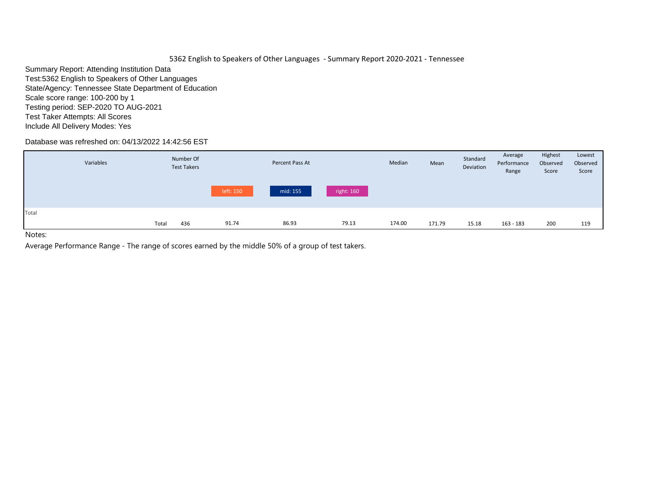5362 English to Speakers of Other Languages - Summary Report 2020-2021 - Tennessee

Summary Report: Attending Institution Data Test:5362 English to Speakers of Other Languages State/Agency: Tennessee State Department of Education Scale score range: 100-200 by 1 Testing period: SEP-2020 TO AUG-2021 Test Taker Attempts: All Scores Include All Delivery Modes: Yes

Database was refreshed on: 04/13/2022 14:42:56 EST

|       | Variables |       | Number Of<br><b>Test Takers</b> |           | Percent Pass At |            | Median | Mean   | Standard<br>Deviation | Average<br>Performance<br>Range | Highest<br>Observed<br>Score | Lowest<br>Observed<br>Score |
|-------|-----------|-------|---------------------------------|-----------|-----------------|------------|--------|--------|-----------------------|---------------------------------|------------------------------|-----------------------------|
|       |           |       |                                 | left: 150 | mid: 155        | right: 160 |        |        |                       |                                 |                              |                             |
| Total |           | Total | 436                             | 91.74     | 86.93           | 79.13      | 174.00 | 171.79 | 15.18                 | 163 - 183                       | 200                          | 119                         |

Notes: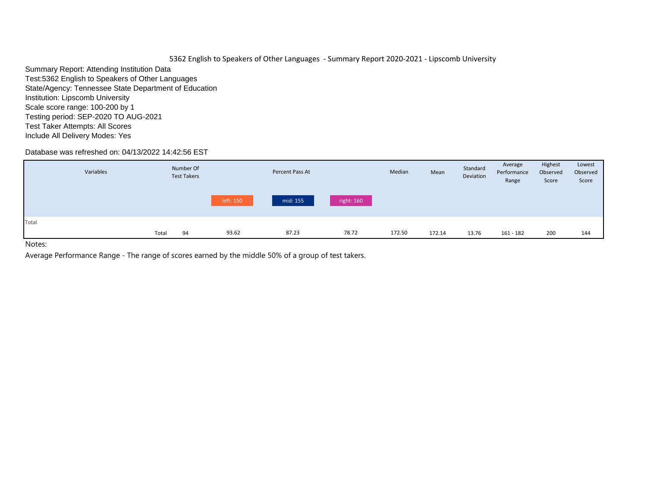Summary Report: Attending Institution Data Test:5362 English to Speakers of Other Languages State/Agency: Tennessee State Department of Education Institution: Lipscomb University Scale score range: 100-200 by 1 Testing period: SEP-2020 TO AUG-2021 Test Taker Attempts: All Scores Include All Delivery Modes: Yes

## Database was refreshed on: 04/13/2022 14:42:56 EST

| mid: 155<br>right: 160<br>left: 150                                                       | Lowest<br>Observed<br>Score |
|-------------------------------------------------------------------------------------------|-----------------------------|
|                                                                                           |                             |
| Total                                                                                     |                             |
| 87.23<br>93.62<br>78.72<br>172.50<br>Total<br>13.76<br>$161 - 182$<br>200<br>94<br>172.14 | 144                         |

Notes: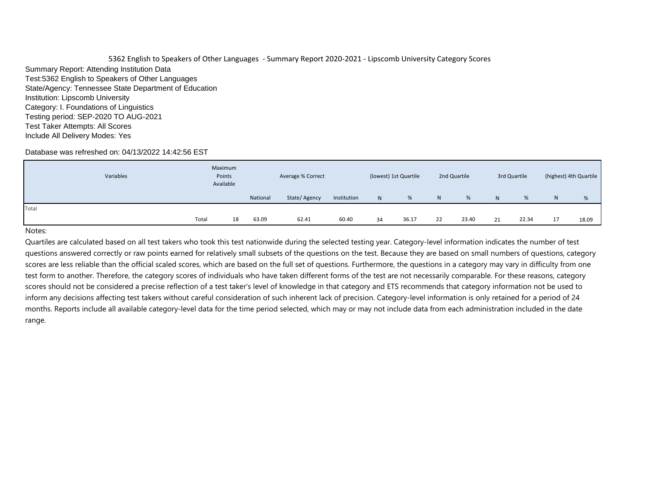5362 English to Speakers of Other Languages - Summary Report 2020-2021 - Lipscomb University Category Scores Summary Report: Attending Institution Data Test:5362 English to Speakers of Other Languages State/Agency: Tennessee State Department of Education Institution: Lipscomb University Category: I. Foundations of Linguistics Testing period: SEP-2020 TO AUG-2021 Test Taker Attempts: All Scores Include All Delivery Modes: Yes

#### Database was refreshed on: 04/13/2022 14:42:56 EST

|       | Variables | Maximum<br>Points<br>Available |    |          | Average % Correct |             |    | (lowest) 1st Quartile |    | 2nd Quartile |    | 3rd Quartile |              | (highest) 4th Quartile |
|-------|-----------|--------------------------------|----|----------|-------------------|-------------|----|-----------------------|----|--------------|----|--------------|--------------|------------------------|
|       |           |                                |    | National | State/Agency      | Institution | N  | %                     | N  | %            | N  | %            | <sup>N</sup> | %                      |
| Total |           |                                |    |          |                   |             |    |                       |    |              |    |              |              |                        |
|       |           | Total                          | 18 | 63.09    | 62.41             | 60.40       | 34 | 36.17                 | 22 | 23.40        | 21 | 22.34        | 17           | 18.09                  |

#### Notes: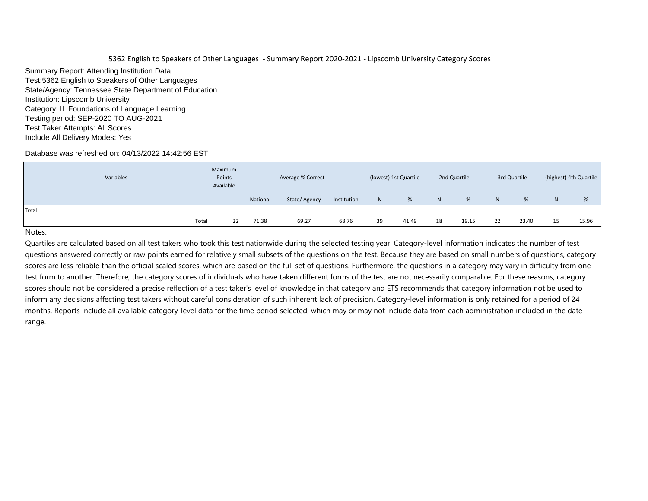Summary Report: Attending Institution Data Test:5362 English to Speakers of Other Languages State/Agency: Tennessee State Department of Education Institution: Lipscomb University Category: II. Foundations of Language Learning Testing period: SEP-2020 TO AUG-2021 Test Taker Attempts: All Scores Include All Delivery Modes: Yes

## Database was refreshed on: 04/13/2022 14:42:56 EST

| Variables | Maximum<br>Points<br>Available |          | Average % Correct |             |    | (lowest) 1st Quartile |    | 2nd Quartile |    | 3rd Quartile |    | (highest) 4th Quartile |
|-----------|--------------------------------|----------|-------------------|-------------|----|-----------------------|----|--------------|----|--------------|----|------------------------|
|           |                                | National | State/Agency      | Institution | N  | %                     | N  | %            | N. | %            | N  | %                      |
| Total     |                                |          |                   |             |    |                       |    |              |    |              |    |                        |
|           | Total<br>22                    | 71.38    | 69.27             | 68.76       | 39 | 41.49                 | 18 | 19.15        | 22 | 23.40        | 15 | 15.96                  |

## Notes: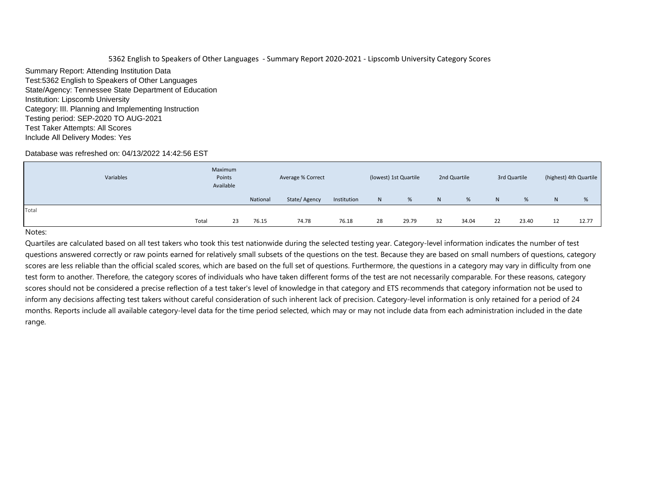Summary Report: Attending Institution Data Test:5362 English to Speakers of Other Languages State/Agency: Tennessee State Department of Education Institution: Lipscomb University Category: III. Planning and Implementing Instruction Testing period: SEP-2020 TO AUG-2021 Test Taker Attempts: All Scores Include All Delivery Modes: Yes

## Database was refreshed on: 04/13/2022 14:42:56 EST

|       | Variables | Maximum<br>Points<br>Available |          | Average % Correct |             |              | (lowest) 1st Quartile |    | 2nd Quartile |    | 3rd Quartile |   | (highest) 4th Quartile |
|-------|-----------|--------------------------------|----------|-------------------|-------------|--------------|-----------------------|----|--------------|----|--------------|---|------------------------|
|       |           |                                | National | State/Agency      | Institution | $\mathsf{N}$ | %                     | N  | %            | N  | %            | N | %                      |
| Total |           |                                |          |                   |             |              |                       |    |              |    |              |   |                        |
|       | Total     | 23                             | 76.15    | 74.78             | 76.18       | 28           | 29.79                 | 32 | 34.04        | 22 | 23.40        |   | 12.77                  |

#### Notes: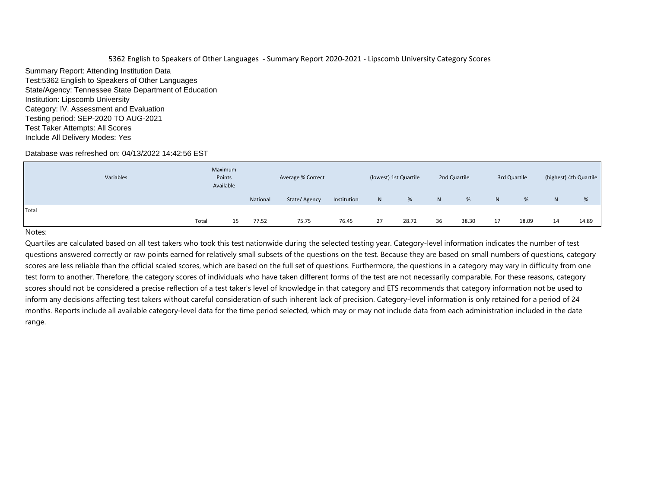Summary Report: Attending Institution Data Test:5362 English to Speakers of Other Languages State/Agency: Tennessee State Department of Education Institution: Lipscomb University Category: IV. Assessment and Evaluation Testing period: SEP-2020 TO AUG-2021 Test Taker Attempts: All Scores Include All Delivery Modes: Yes

## Database was refreshed on: 04/13/2022 14:42:56 EST

|       | Variables | Maximum<br>Points<br>Available |          | Average % Correct |             |              | (lowest) 1st Quartile |    | 2nd Quartile |                | 3rd Quartile |    | (highest) 4th Quartile |
|-------|-----------|--------------------------------|----------|-------------------|-------------|--------------|-----------------------|----|--------------|----------------|--------------|----|------------------------|
|       |           |                                | National | State/Agency      | Institution | $\mathsf{N}$ | %                     | N. | %            | N <sub>1</sub> | %            | N  | %                      |
| Total |           |                                |          |                   |             |              |                       |    |              |                |              |    |                        |
|       | Total     | 15                             | 77.52    | 75.75             | 76.45       | 27           | 28.72                 | 36 | 38.30        | 17             | 18.09        | 14 | 14.89                  |

#### Notes: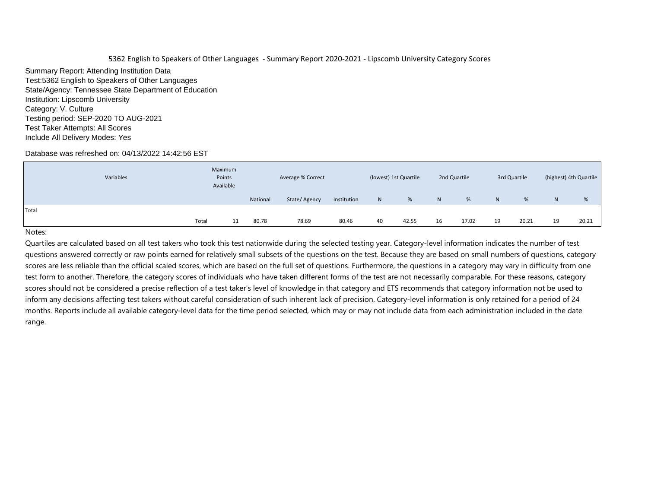Summary Report: Attending Institution Data Test:5362 English to Speakers of Other Languages State/Agency: Tennessee State Department of Education Institution: Lipscomb University Category: V. Culture Testing period: SEP-2020 TO AUG-2021 Test Taker Attempts: All Scores Include All Delivery Modes: Yes

## Database was refreshed on: 04/13/2022 14:42:56 EST

|       | Variables | Maximum<br>Points<br>Available |          | Average % Correct |             |              | (lowest) 1st Quartile |    | 2nd Quartile |    | 3rd Quartile |    | (highest) 4th Quartile |
|-------|-----------|--------------------------------|----------|-------------------|-------------|--------------|-----------------------|----|--------------|----|--------------|----|------------------------|
|       |           |                                | National | State/Agency      | Institution | $\mathsf{N}$ | %                     | N. | %            | N  | %            | N  | %                      |
| Total |           |                                |          |                   |             |              |                       |    |              |    |              |    |                        |
|       | Total     | 11                             | 80.78    | 78.69             | 80.46       | 40           | 42.55                 | 16 | 17.02        | 19 | 20.21        | 19 | 20.21                  |

#### Notes: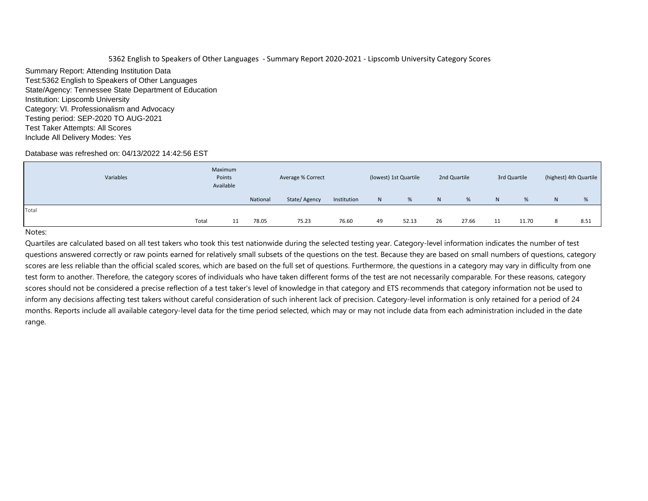Summary Report: Attending Institution Data Test:5362 English to Speakers of Other Languages State/Agency: Tennessee State Department of Education Institution: Lipscomb University Category: VI. Professionalism and Advocacy Testing period: SEP-2020 TO AUG-2021 Test Taker Attempts: All Scores Include All Delivery Modes: Yes

## Database was refreshed on: 04/13/2022 14:42:56 EST

| Variables | Maximum<br>Points<br>Available |    |          | Average % Correct |             |              | (lowest) 1st Quartile |                | 2nd Quartile |    | 3rd Quartile |   | (highest) 4th Quartile |
|-----------|--------------------------------|----|----------|-------------------|-------------|--------------|-----------------------|----------------|--------------|----|--------------|---|------------------------|
|           |                                |    | National | State/Agency      | Institution | $\mathsf{N}$ | %                     | N <sub>1</sub> | %            | N  | %            | N | %                      |
| Total     |                                |    |          |                   |             |              |                       |                |              |    |              |   |                        |
|           | Total                          | 11 | 78.05    | 75.23             | 76.60       | 49           | 52.13                 | 26             | 27.66        | 11 | 11.70        |   | 8.51                   |

#### Notes: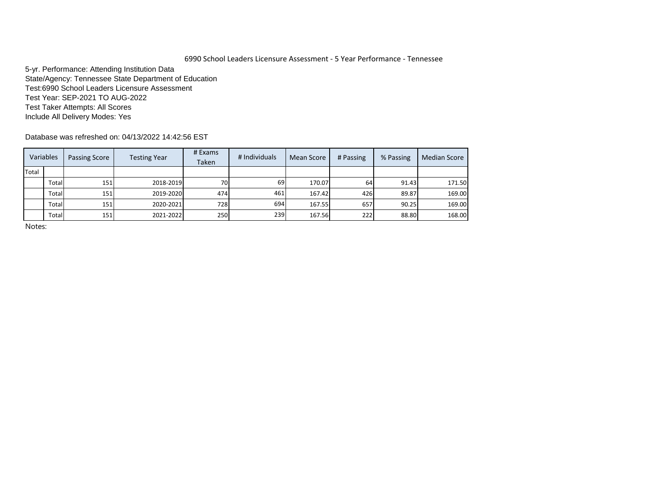# 6990 School Leaders Licensure Assessment - 5 Year Performance - Tennessee

5-yr. Performance: Attending Institution Data State/Agency: Tennessee State Department of Education Test:6990 School Leaders Licensure Assessment Test Year: SEP-2021 TO AUG-2022 Test Taker Attempts: All Scores Include All Delivery Modes: Yes

Database was refreshed on: 04/13/2022 14:42:56 EST

|       | Variables | Passing Score | <b>Testing Year</b> | # Exams<br>Taken | # Individuals | Mean Score | # Passing | % Passing | <b>Median Score</b> |
|-------|-----------|---------------|---------------------|------------------|---------------|------------|-----------|-----------|---------------------|
| Total |           |               |                     |                  |               |            |           |           |                     |
|       | Total     | 151           | 2018-2019           | 70I              | 69            | 170.07     | 64        | 91.43     | 171.50              |
|       | Total     | 151           | 2019-2020           | 474              | 461           | 167.42     | 426       | 89.87     | 169.00              |
|       | Total     | 151           | 2020-2021           | <b>728</b>       | 694           | 167.55     | 657       | 90.25     | 169.00              |
|       | Total     | 151           | 2021-2022           | <b>250</b>       | 239           | 167.56     | 222       | 88.80     | 168.00              |

Notes: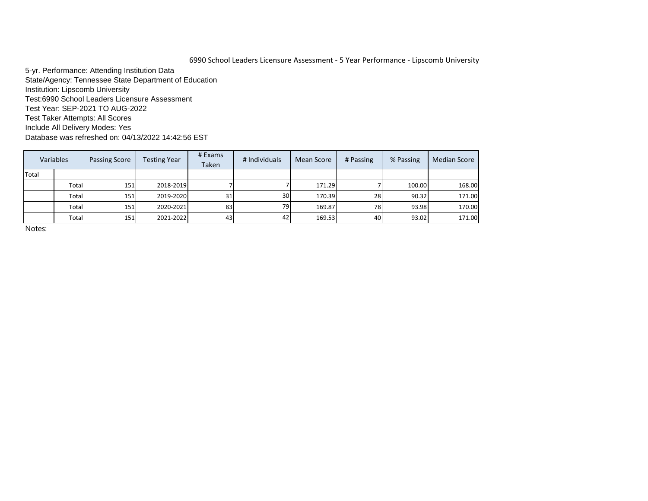## 6990 School Leaders Licensure Assessment - 5 Year Performance - Lipscomb University

5-yr. Performance: Attending Institution Data State/Agency: Tennessee State Department of Education Institution: Lipscomb University Test:6990 School Leaders Licensure Assessment Test Year: SEP-2021 TO AUG-2022 Test Taker Attempts: All Scores Include All Delivery Modes: Yes Database was refreshed on: 04/13/2022 14:42:56 EST

| Variables |       | <b>Passing Score</b> | <b>Testing Year</b> | # Exams<br>Taken | # Individuals   | Mean Score | # Passing | % Passing | <b>Median Score</b> |
|-----------|-------|----------------------|---------------------|------------------|-----------------|------------|-----------|-----------|---------------------|
| Total     |       |                      |                     |                  |                 |            |           |           |                     |
|           | Total | 151                  | 2018-2019           |                  |                 | 171.29     |           | 100.00    | 168.00              |
|           | Total | 151                  | 2019-2020           | 31               | 30 <sup>1</sup> | 170.39     | 28        | 90.32     | 171.00              |
|           | Total | 151                  | 2020-2021           | 83               | 79I             | 169.87     | 78)       | 93.98     | 170.00              |
|           | Total | 151                  | 2021-2022           | 43               | 42              | 169.53     | 40        | 93.02     | 171.00              |

Notes: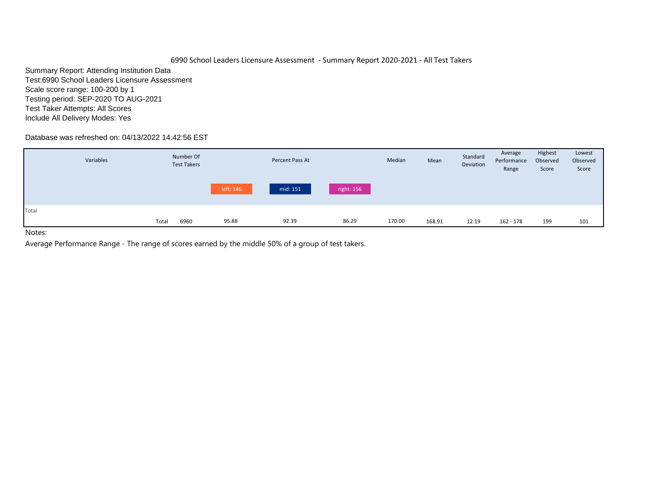## 6990 School Leaders Licensure Assessment - Summary Report 2020-2021 - All Test Takers

Summary Report: Attending Institution Data Test:6990 School Leaders Licensure Assessment Scale score range: 100-200 by 1 Testing period: SEP-2020 TO AUG-2021 Test Taker Attempts: All Scores Include All Delivery Modes: Yes

## Database was refreshed on: 04/13/2022 14:42:56 EST

|       | Variables |       | Number Of<br><b>Test Takers</b> |           | Percent Pass At |            | Median | Mean   | Standard<br>Deviation | Average<br>Performance<br>Range | Highest<br>Observed<br>Score | Lowest<br>Observed<br>Score |
|-------|-----------|-------|---------------------------------|-----------|-----------------|------------|--------|--------|-----------------------|---------------------------------|------------------------------|-----------------------------|
|       |           |       |                                 | left: 146 | mid: 151        | right: 156 |        |        |                       |                                 |                              |                             |
| Total |           | Total | 6960                            | 95.88     | 92.39           | 86.29      | 170.00 | 168.91 | 12.19                 | 162 - 178                       | 199                          | 101                         |

Notes: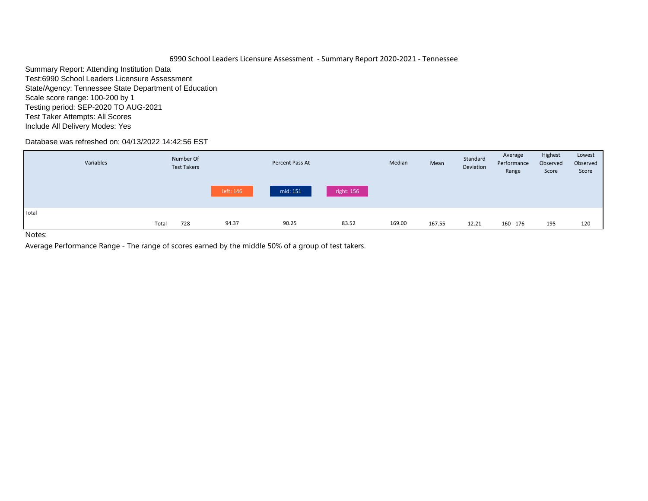6990 School Leaders Licensure Assessment - Summary Report 2020-2021 - Tennessee

Summary Report: Attending Institution Data Test:6990 School Leaders Licensure Assessment State/Agency: Tennessee State Department of Education Scale score range: 100-200 by 1 Testing period: SEP-2020 TO AUG-2021 Test Taker Attempts: All Scores Include All Delivery Modes: Yes

Database was refreshed on: 04/13/2022 14:42:56 EST

| Variables |       | Number Of<br><b>Test Takers</b> |           | Percent Pass At |            | Median | Mean   | Standard<br>Deviation | Average<br>Performance<br>Range | Highest<br>Observed<br>Score | Lowest<br>Observed<br>Score |
|-----------|-------|---------------------------------|-----------|-----------------|------------|--------|--------|-----------------------|---------------------------------|------------------------------|-----------------------------|
|           |       |                                 | left: 146 | mid: 151        | right: 156 |        |        |                       |                                 |                              |                             |
| Total     | Total | 728                             | 94.37     | 90.25           | 83.52      | 169.00 | 167.55 | 12.21                 | 160 - 176                       | 195                          | 120                         |

Notes: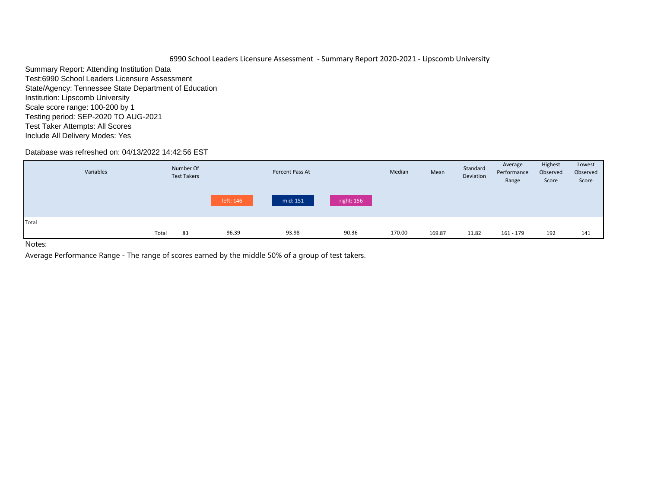Summary Report: Attending Institution Data Test:6990 School Leaders Licensure Assessment State/Agency: Tennessee State Department of Education Institution: Lipscomb University Scale score range: 100-200 by 1 Testing period: SEP-2020 TO AUG-2021 Test Taker Attempts: All Scores Include All Delivery Modes: Yes

# Database was refreshed on: 04/13/2022 14:42:56 EST

|       | Variables |       | Number Of<br><b>Test Takers</b> |           | Percent Pass At |            | Median | Mean   | Standard<br>Deviation | Average<br>Performance<br>Range | Highest<br>Observed<br>Score | Lowest<br>Observed<br>Score |
|-------|-----------|-------|---------------------------------|-----------|-----------------|------------|--------|--------|-----------------------|---------------------------------|------------------------------|-----------------------------|
|       |           |       |                                 | left: 146 | mid: 151        | right: 156 |        |        |                       |                                 |                              |                             |
| Total |           |       |                                 |           |                 |            |        |        |                       |                                 |                              |                             |
|       |           | Total | 83                              | 96.39     | 93.98           | 90.36      | 170.00 | 169.87 | 11.82                 | 161 - 179                       | 192                          | 141                         |
| .     |           |       |                                 |           |                 |            |        |        |                       |                                 |                              |                             |

Notes: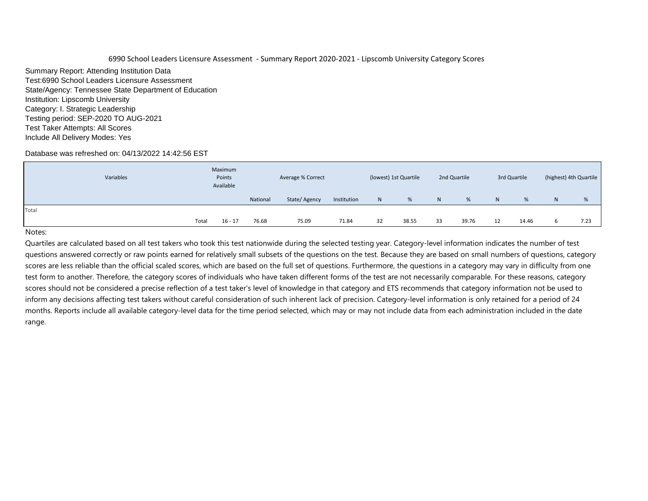Summary Report: Attending Institution Data Test:6990 School Leaders Licensure Assessment State/Agency: Tennessee State Department of Education Institution: Lipscomb University Category: I. Strategic Leadership Testing period: SEP-2020 TO AUG-2021 Test Taker Attempts: All Scores Include All Delivery Modes: Yes

## Database was refreshed on: 04/13/2022 14:42:56 EST

|       | Variables | Maximum<br>Points<br>Available |          | Average % Correct |             |    | (lowest) 1st Quartile |    | 2nd Quartile |                | 3rd Quartile |   | (highest) 4th Quartile |
|-------|-----------|--------------------------------|----------|-------------------|-------------|----|-----------------------|----|--------------|----------------|--------------|---|------------------------|
|       |           |                                | National | State/Agency      | Institution | N  | %                     | N  | %            | N <sub>1</sub> | %            | N | %                      |
| Total |           |                                |          |                   |             |    |                       |    |              |                |              |   |                        |
|       | Total     | $16 - 17$                      | 76.68    | 75.09             | 71.84       | 32 | 38.55                 | 33 | 39.76        | 12             | 14.46        |   | 7.23                   |

#### Notes: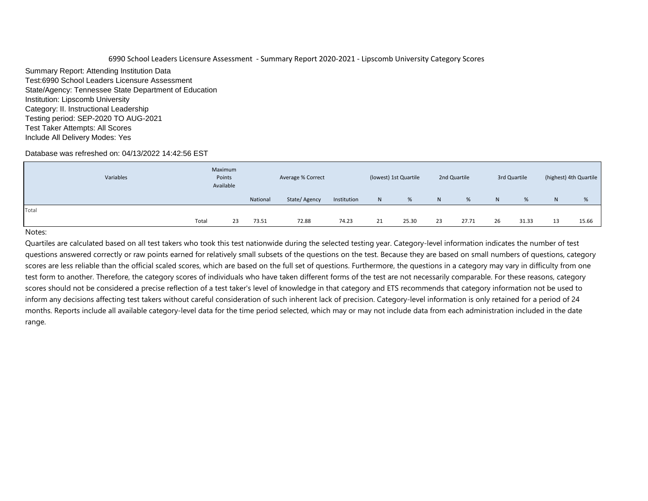Summary Report: Attending Institution Data Test:6990 School Leaders Licensure Assessment State/Agency: Tennessee State Department of Education Institution: Lipscomb University Category: II. Instructional Leadership Testing period: SEP-2020 TO AUG-2021 Test Taker Attempts: All Scores Include All Delivery Modes: Yes

## Database was refreshed on: 04/13/2022 14:42:56 EST

|       | Variables |       | Maximum<br>Points<br>Available |          | Average % Correct |             |    | (lowest) 1st Quartile |                | 2nd Quartile |    | 3rd Quartile |    | (highest) 4th Quartile |
|-------|-----------|-------|--------------------------------|----------|-------------------|-------------|----|-----------------------|----------------|--------------|----|--------------|----|------------------------|
|       |           |       |                                | National | State/Agency      | Institution | N  | %                     | N <sub>1</sub> | %            | N  | %            | N. | %                      |
| Total |           |       |                                |          |                   |             |    |                       |                |              |    |              |    |                        |
|       |           | Total | 23                             | 73.51    | 72.88             | 74.23       | 21 | 25.30                 | 23             | 27.71        | 26 | 31.33        | 13 | 15.66                  |

#### Notes: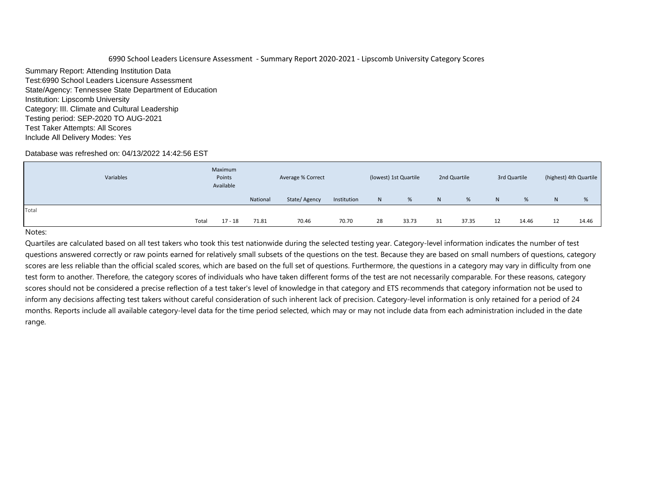Summary Report: Attending Institution Data Test:6990 School Leaders Licensure Assessment State/Agency: Tennessee State Department of Education Institution: Lipscomb University Category: III. Climate and Cultural Leadership Testing period: SEP-2020 TO AUG-2021 Test Taker Attempts: All Scores Include All Delivery Modes: Yes

## Database was refreshed on: 04/13/2022 14:42:56 EST

|       | Variables | Maximum<br>Points<br>Available |          | Average % Correct |             |              | (lowest) 1st Quartile |    | 2nd Quartile |    | 3rd Quartile |   | (highest) 4th Quartile |
|-------|-----------|--------------------------------|----------|-------------------|-------------|--------------|-----------------------|----|--------------|----|--------------|---|------------------------|
|       |           |                                | National | State/Agency      | Institution | $\mathsf{N}$ | %                     | N. | %            | N  | %            | N | %                      |
| Total |           |                                |          |                   |             |              |                       |    |              |    |              |   |                        |
|       | Total     | $17 - 18$                      | 71.81    | 70.46             | 70.70       | 28           | 33.73                 | 31 | 37.35        | 12 | 14.46        |   | 14.46                  |

#### Notes: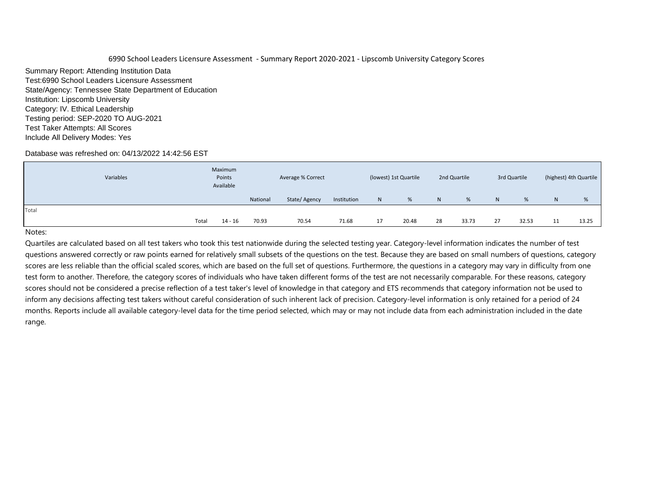Summary Report: Attending Institution Data Test:6990 School Leaders Licensure Assessment State/Agency: Tennessee State Department of Education Institution: Lipscomb University Category: IV. Ethical Leadership Testing period: SEP-2020 TO AUG-2021 Test Taker Attempts: All Scores Include All Delivery Modes: Yes

## Database was refreshed on: 04/13/2022 14:42:56 EST

|       | Variables | Maximum<br>Points<br>Available |          | Average % Correct |             |    | (lowest) 1st Quartile |    | 2nd Quartile |                | 3rd Quartile |    | (highest) 4th Quartile |
|-------|-----------|--------------------------------|----------|-------------------|-------------|----|-----------------------|----|--------------|----------------|--------------|----|------------------------|
|       |           |                                | National | State/Agency      | Institution | N  | %                     | N  | %            | N <sub>1</sub> | %            | N. | %                      |
| Total |           |                                |          |                   |             |    |                       |    |              |                |              |    |                        |
|       | Total     | 14 - 16                        | 70.93    | 70.54             | 71.68       | 17 | 20.48                 | 28 | 33.73        | 27             | 32.53        | 11 | 13.25                  |

#### Notes: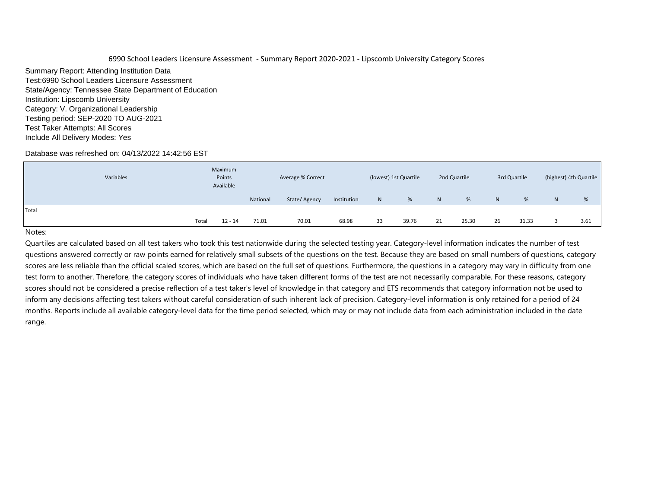Summary Report: Attending Institution Data Test:6990 School Leaders Licensure Assessment State/Agency: Tennessee State Department of Education Institution: Lipscomb University Category: V. Organizational Leadership Testing period: SEP-2020 TO AUG-2021 Test Taker Attempts: All Scores Include All Delivery Modes: Yes

## Database was refreshed on: 04/13/2022 14:42:56 EST

| Variables | Maximum<br>Points<br>Available |          | Average % Correct |             |    | (lowest) 1st Quartile |    | 2nd Quartile |    | 3rd Quartile |   | (highest) 4th Quartile |
|-----------|--------------------------------|----------|-------------------|-------------|----|-----------------------|----|--------------|----|--------------|---|------------------------|
|           |                                | National | State/Agency      | Institution | N  | %                     | N  | %            | N  | %            | N | %                      |
| Total     |                                |          |                   |             |    |                       |    |              |    |              |   |                        |
|           | Total<br>$12 - 14$             | 71.01    | 70.01             | 68.98       | 33 | 39.76                 | 21 | 25.30        | 26 | 31.33        |   | 3.61                   |

#### Notes: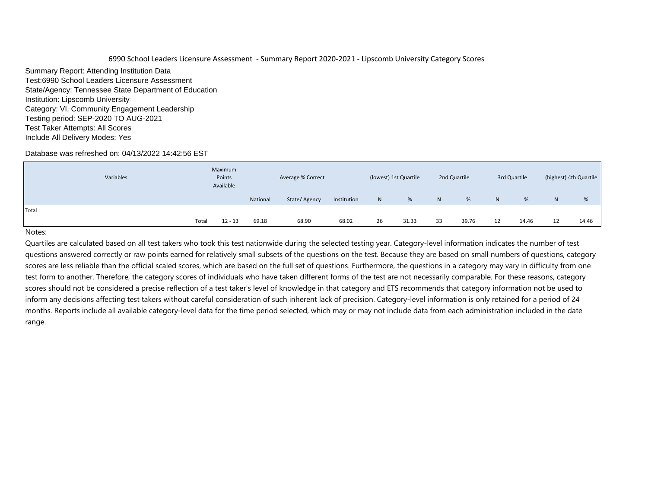Summary Report: Attending Institution Data Test:6990 School Leaders Licensure Assessment State/Agency: Tennessee State Department of Education Institution: Lipscomb University Category: VI. Community Engagement Leadership Testing period: SEP-2020 TO AUG-2021 Test Taker Attempts: All Scores Include All Delivery Modes: Yes

## Database was refreshed on: 04/13/2022 14:42:56 EST

| Variables | Maximum<br>Points<br>Available |                    | Average % Correct |             |    | (lowest) 1st Quartile |    | 2nd Quartile |    | 3rd Quartile |    | (highest) 4th Quartile |
|-----------|--------------------------------|--------------------|-------------------|-------------|----|-----------------------|----|--------------|----|--------------|----|------------------------|
|           |                                | National           | State/Agency      | Institution | N  | %                     | N  | %            | N  | %            | N  | %                      |
| Total     |                                |                    |                   |             |    |                       |    |              |    |              |    |                        |
|           | Total                          | 69.18<br>$12 - 13$ | 68.90             | 68.02       | 26 | 31.33                 | 33 | 39.76        | 12 | 14.46        | 12 | 14.46                  |

## Notes: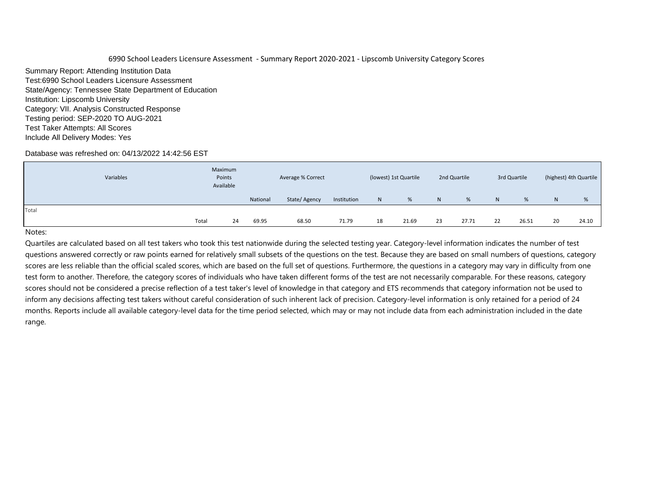Summary Report: Attending Institution Data Test:6990 School Leaders Licensure Assessment State/Agency: Tennessee State Department of Education Institution: Lipscomb University Category: VII. Analysis Constructed Response Testing period: SEP-2020 TO AUG-2021 Test Taker Attempts: All Scores Include All Delivery Modes: Yes

## Database was refreshed on: 04/13/2022 14:42:56 EST

|       | Variables | Maximum<br>Points<br>Available |          | Average % Correct |             |              | (lowest) 1st Quartile |    | 2nd Quartile |    | 3rd Quartile |    | (highest) 4th Quartile |
|-------|-----------|--------------------------------|----------|-------------------|-------------|--------------|-----------------------|----|--------------|----|--------------|----|------------------------|
|       |           |                                | National | State/Agency      | Institution | $\mathsf{N}$ | %                     | N  | %            | N  | %            | N  | %                      |
| Total |           |                                |          |                   |             |              |                       |    |              |    |              |    |                        |
|       | Total     | 24                             | 69.95    | 68.50             | 71.79       | 18           | 21.69                 | 23 | 27.71        | 22 | 26.51        | 20 | 24.10                  |

#### Notes: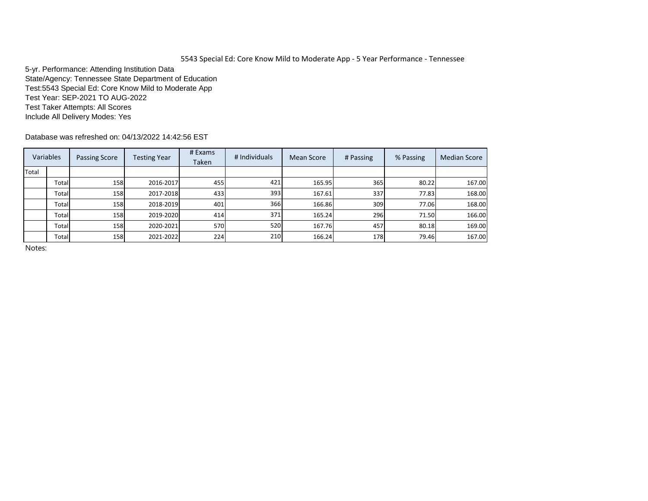5-yr. Performance: Attending Institution Data State/Agency: Tennessee State Department of Education Test:5543 Special Ed: Core Know Mild to Moderate App Test Year: SEP-2021 TO AUG-2022 Test Taker Attempts: All Scores Include All Delivery Modes: Yes

Database was refreshed on: 04/13/2022 14:42:56 EST

|       | Variables | <b>Passing Score</b> | <b>Testing Year</b> | # Exams<br>Taken | # Individuals | Mean Score | # Passing | % Passing | <b>Median Score</b> |
|-------|-----------|----------------------|---------------------|------------------|---------------|------------|-----------|-----------|---------------------|
| Total |           |                      |                     |                  |               |            |           |           |                     |
|       | Total     | 158                  | 2016-2017           | 455              | 421           | 165.95     | 365       | 80.22     | 167.00              |
|       | Total     | 158                  | 2017-2018           | 433              | 393           | 167.61     | 337       | 77.83     | 168.00              |
|       | Total     | 158                  | 2018-2019           | 401              | 366           | 166.86     | 309       | 77.06     | 168.00              |
|       | Total     | 158                  | 2019-2020           | 414              | 371           | 165.24     | 296       | 71.50     | 166.00              |
|       | Total     | 158 <b> </b>         | 2020-2021           | 570              | 520           | 167.76     | 457       | 80.18     | 169.00              |
|       | Total     | 158                  | 2021-2022           | 224              | 210           | 166.24     | 178       | 79.46     | 167.00              |

Notes: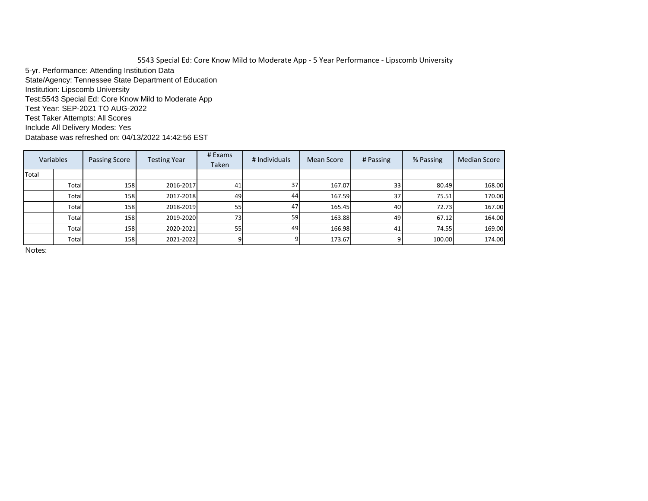5543 Special Ed: Core Know Mild to Moderate App - 5 Year Performance - Lipscomb University 5-yr. Performance: Attending Institution Data State/Agency: Tennessee State Department of Education Institution: Lipscomb University Test:5543 Special Ed: Core Know Mild to Moderate App Test Year: SEP-2021 TO AUG-2022 Test Taker Attempts: All Scores Include All Delivery Modes: Yes

Database was refreshed on: 04/13/2022 14:42:56 EST

|       | Variables | <b>Passing Score</b> | <b>Testing Year</b> | # Exams<br>Taken | # Individuals | Mean Score | # Passing       | % Passing | <b>Median Score</b> |
|-------|-----------|----------------------|---------------------|------------------|---------------|------------|-----------------|-----------|---------------------|
| Total |           |                      |                     |                  |               |            |                 |           |                     |
|       | Total     | 158                  | 2016-2017           | 41               | 37            | 167.07     | 33              | 80.49     | 168.00              |
|       | Total     | 158                  | 2017-2018           | 49               | 44            | 167.59     | 37 <sup>l</sup> | 75.51     | 170.00              |
|       | Total     | 158                  | 2018-2019           | 55               | 47            | 165.45     | 40              | 72.73     | 167.00              |
|       | Total     | 158                  | 2019-2020           | <b>73</b>        | 59            | 163.88     | 49              | 67.12     | 164.00              |
|       | Total     | 158                  | 2020-2021           | 55               | 49            | 166.98     | 41              | 74.55     | 169.00              |
|       | Total     | 158                  | 2021-2022           |                  |               | 173.67     |                 | 100.00    | 174.00              |

Notes: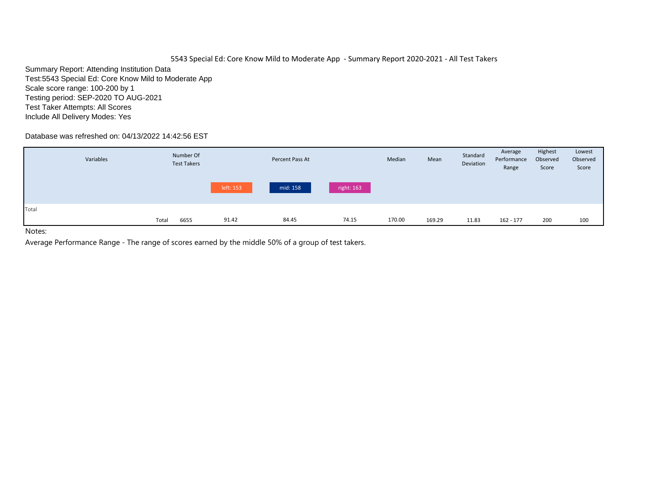Summary Report: Attending Institution Data Test:5543 Special Ed: Core Know Mild to Moderate App Scale score range: 100-200 by 1 Testing period: SEP-2020 TO AUG-2021 Test Taker Attempts: All Scores Include All Delivery Modes: Yes

# Database was refreshed on: 04/13/2022 14:42:56 EST

|       | Variables |       | Number Of<br><b>Test Takers</b> |           | Percent Pass At |            | Median | Mean   | Standard<br>Deviation | Average<br>Performance<br>Range | Highest<br>Observed<br>Score | Lowest<br>Observed<br>Score |
|-------|-----------|-------|---------------------------------|-----------|-----------------|------------|--------|--------|-----------------------|---------------------------------|------------------------------|-----------------------------|
|       |           |       |                                 | left: 153 | mid: 158        | right: 163 |        |        |                       |                                 |                              |                             |
| Total |           | Total | 6655                            | 91.42     | 84.45           | 74.15      | 170.00 | 169.29 | 11.83                 | 162 - 177                       | 200                          | 100                         |

Notes: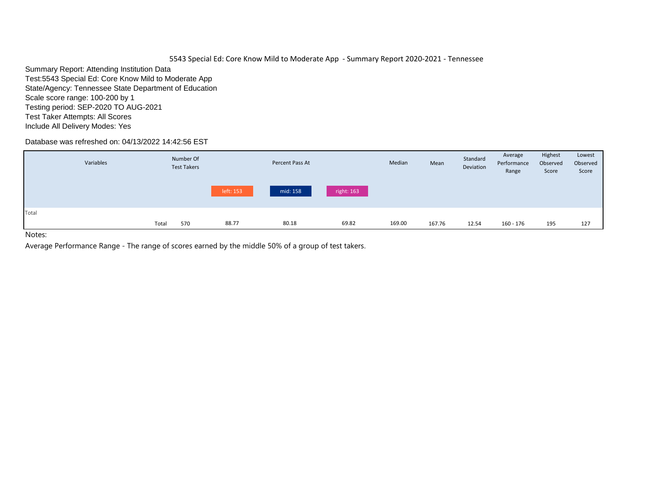Summary Report: Attending Institution Data Test:5543 Special Ed: Core Know Mild to Moderate App State/Agency: Tennessee State Department of Education Scale score range: 100-200 by 1 Testing period: SEP-2020 TO AUG-2021 Test Taker Attempts: All Scores Include All Delivery Modes: Yes

# Database was refreshed on: 04/13/2022 14:42:56 EST

|       | Variables |       | Number Of<br><b>Test Takers</b> |           | Percent Pass At |            | Median | Mean   | Standard<br>Deviation | Average<br>Performance<br>Range | Highest<br>Observed<br>Score | Lowest<br>Observed<br>Score |
|-------|-----------|-------|---------------------------------|-----------|-----------------|------------|--------|--------|-----------------------|---------------------------------|------------------------------|-----------------------------|
|       |           |       |                                 | left: 153 | mid: 158        | right: 163 |        |        |                       |                                 |                              |                             |
| Total |           | Total | 570                             | 88.77     | 80.18           | 69.82      | 169.00 | 167.76 | 12.54                 | 160 - 176                       | 195                          | 127                         |
| .     |           |       |                                 |           |                 |            |        |        |                       |                                 |                              |                             |

Notes: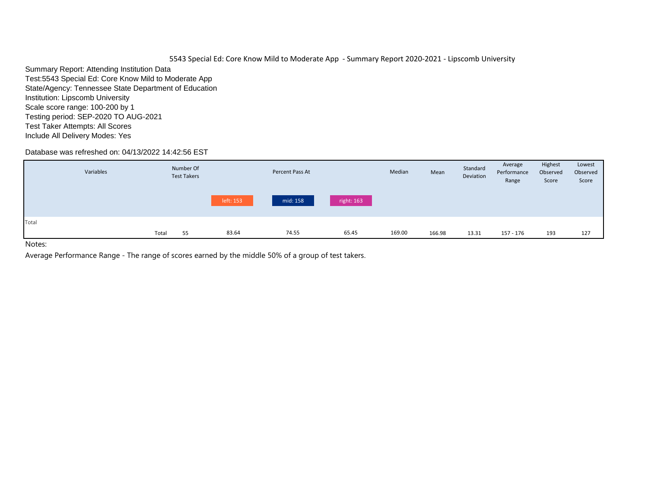Summary Report: Attending Institution Data Test:5543 Special Ed: Core Know Mild to Moderate App State/Agency: Tennessee State Department of Education Institution: Lipscomb University Scale score range: 100-200 by 1 Testing period: SEP-2020 TO AUG-2021 Test Taker Attempts: All Scores Include All Delivery Modes: Yes

# Database was refreshed on: 04/13/2022 14:42:56 EST

| mid: 158<br>right: 163<br>left: 153<br>83.64<br>169.00<br>74.55<br>65.45<br>166.98<br>Total<br>55<br>13.31<br>157 - 176<br>193<br>127 | Variables | Number Of<br><b>Test Takers</b> | Percent Pass At | Median | Mean | Standard<br>Deviation | Average<br>Performance<br>Range | Highest<br>Observed<br>Score | Lowest<br>Observed<br>Score |
|---------------------------------------------------------------------------------------------------------------------------------------|-----------|---------------------------------|-----------------|--------|------|-----------------------|---------------------------------|------------------------------|-----------------------------|
| Total                                                                                                                                 |           |                                 |                 |        |      |                       |                                 |                              |                             |
|                                                                                                                                       |           |                                 |                 |        |      |                       |                                 |                              |                             |
|                                                                                                                                       |           |                                 |                 |        |      |                       |                                 |                              |                             |

Notes: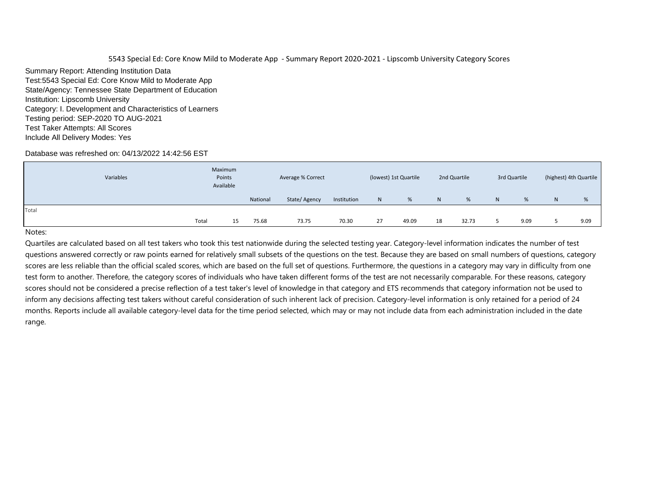Summary Report: Attending Institution Data Test:5543 Special Ed: Core Know Mild to Moderate App State/Agency: Tennessee State Department of Education Institution: Lipscomb University Category: I. Development and Characteristics of Learners Testing period: SEP-2020 TO AUG-2021 Test Taker Attempts: All Scores Include All Delivery Modes: Yes

## Database was refreshed on: 04/13/2022 14:42:56 EST

| Variables | Maximum<br>Points<br>Available |          | Average % Correct |             | (lowest) 1st Quartile |       | 2nd Quartile   | 3rd Quartile |   | (highest) 4th Quartile |   |      |
|-----------|--------------------------------|----------|-------------------|-------------|-----------------------|-------|----------------|--------------|---|------------------------|---|------|
|           |                                | National | State/Agency      | Institution | $\mathsf{N}$          | %     | N <sub>1</sub> | %            | N | %                      | N | %    |
| Total     |                                |          |                   |             |                       |       |                |              |   |                        |   |      |
|           | Total<br>15                    | 75.68    | 73.75             | 70.30       | 27                    | 49.09 | 18             | 32.73        |   | 9.09                   |   | 9.09 |

#### Notes: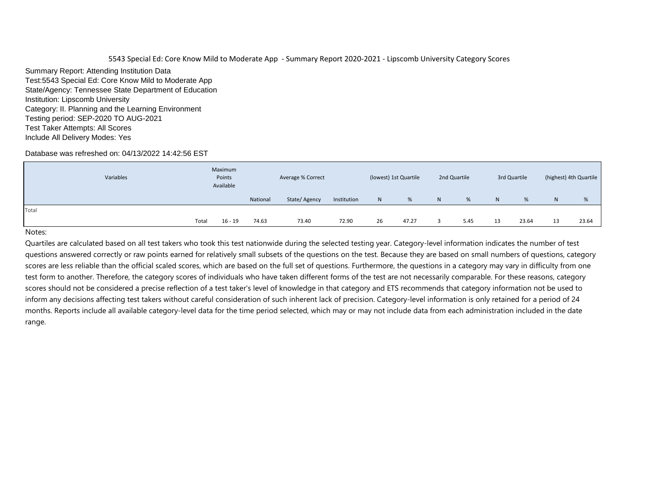Summary Report: Attending Institution Data Test:5543 Special Ed: Core Know Mild to Moderate App State/Agency: Tennessee State Department of Education Institution: Lipscomb University Category: II. Planning and the Learning Environment Testing period: SEP-2020 TO AUG-2021 Test Taker Attempts: All Scores Include All Delivery Modes: Yes

## Database was refreshed on: 04/13/2022 14:42:56 EST

| Variables | Maximum<br>Points<br>Available |                    | Average % Correct |             |    | (lowest) 1st Quartile |   | 2nd Quartile |    | 3rd Quartile | (highest) 4th Quartile |       |  |
|-----------|--------------------------------|--------------------|-------------------|-------------|----|-----------------------|---|--------------|----|--------------|------------------------|-------|--|
|           |                                | National           | State/Agency      | Institution | N  | %                     | N | %            | N  | %            | N                      | %     |  |
| Total     |                                |                    |                   |             |    |                       |   |              |    |              |                        |       |  |
|           | Total                          | 74.63<br>$16 - 19$ | 73.40             | 72.90       | 26 | 47.27                 | ∍ | 5.45         | 13 | 23.64        | 13                     | 23.64 |  |

#### Notes: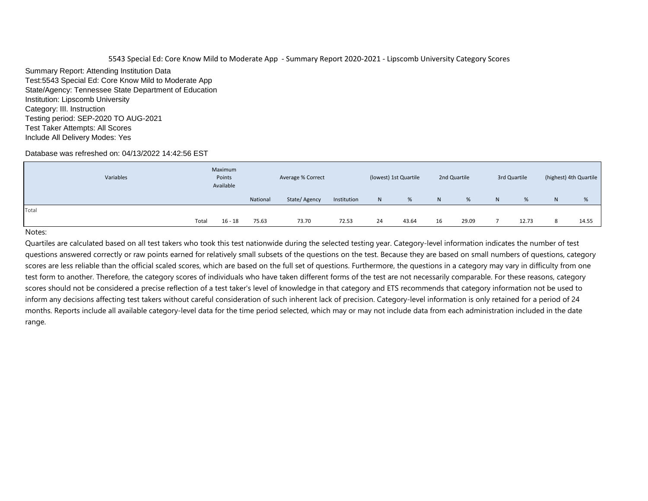Summary Report: Attending Institution Data Test:5543 Special Ed: Core Know Mild to Moderate App State/Agency: Tennessee State Department of Education Institution: Lipscomb University Category: III. Instruction Testing period: SEP-2020 TO AUG-2021 Test Taker Attempts: All Scores Include All Delivery Modes: Yes

# Database was refreshed on: 04/13/2022 14:42:56 EST

| Variables | Maximum<br>Points<br>Available |          | Average % Correct |             |    | (lowest) 1st Quartile |    | 2nd Quartile | 3rd Quartile |       | (highest) 4th Quartile |       |
|-----------|--------------------------------|----------|-------------------|-------------|----|-----------------------|----|--------------|--------------|-------|------------------------|-------|
|           |                                | National | State/Agency      | Institution | N  | %                     | N  | %            | $\mathsf{N}$ | %     | N                      | %     |
| Total     |                                |          |                   |             |    |                       |    |              |              |       |                        |       |
|           | Total<br>$16 - 18$             | 75.63    | 73.70             | 72.53       | 24 | 43.64                 | 16 | 29.09        |              | 12.73 |                        | 14.55 |

## Notes: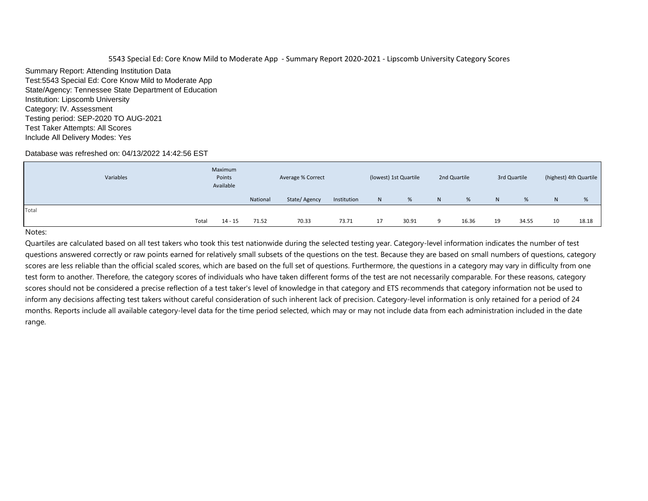Summary Report: Attending Institution Data Test:5543 Special Ed: Core Know Mild to Moderate App State/Agency: Tennessee State Department of Education Institution: Lipscomb University Category: IV. Assessment Testing period: SEP-2020 TO AUG-2021 Test Taker Attempts: All Scores Include All Delivery Modes: Yes

## Database was refreshed on: 04/13/2022 14:42:56 EST

| Variables | Maximum<br>Points<br>Available |          | Average % Correct |             |    | (lowest) 1st Quartile |   | 2nd Quartile | 3rd Quartile |       | (highest) 4th Quartile |       |
|-----------|--------------------------------|----------|-------------------|-------------|----|-----------------------|---|--------------|--------------|-------|------------------------|-------|
|           |                                | National | State/Agency      | Institution | N  | %                     | N | %            | N            | %     | N                      | %     |
| Total     |                                |          |                   |             |    |                       |   |              |              |       |                        |       |
|           | Total<br>$14 - 15$             | 71.52    | 70.33             | 73.71       | 17 | 30.91                 | 9 | 16.36        | 19           | 34.55 | 10                     | 18.18 |

## Notes: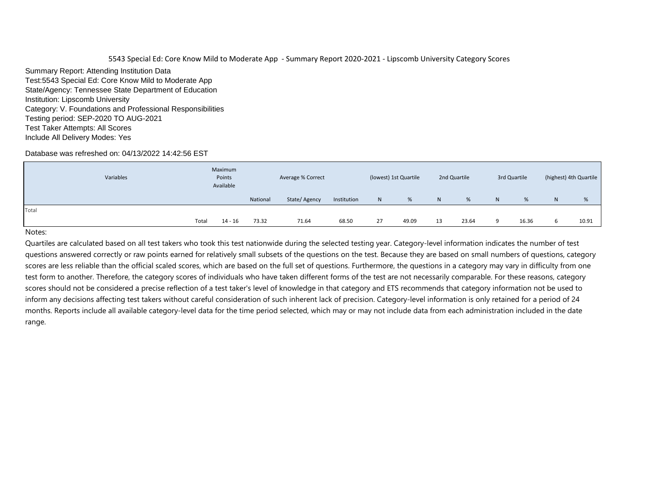Summary Report: Attending Institution Data Test:5543 Special Ed: Core Know Mild to Moderate App State/Agency: Tennessee State Department of Education Institution: Lipscomb University Category: V. Foundations and Professional Responsibilities Testing period: SEP-2020 TO AUG-2021 Test Taker Attempts: All Scores Include All Delivery Modes: Yes

## Database was refreshed on: 04/13/2022 14:42:56 EST

| Variables | Maximum<br>Points<br>Available |          | Average % Correct |             | (lowest) 1st Quartile |       | 2nd Quartile | 3rd Quartile |    | (highest) 4th Quartile |   |       |
|-----------|--------------------------------|----------|-------------------|-------------|-----------------------|-------|--------------|--------------|----|------------------------|---|-------|
|           |                                | National | State/Agency      | Institution | N                     | %     | N            | %            | N. | %                      | N | %     |
| Total     |                                |          |                   |             |                       |       |              |              |    |                        |   |       |
|           | Total<br>$14 - 16$             | 73.32    | 71.64             | 68.50       | 27                    | 49.09 | 13           | 23.64        | a  | 16.36                  |   | 10.91 |

#### Notes: